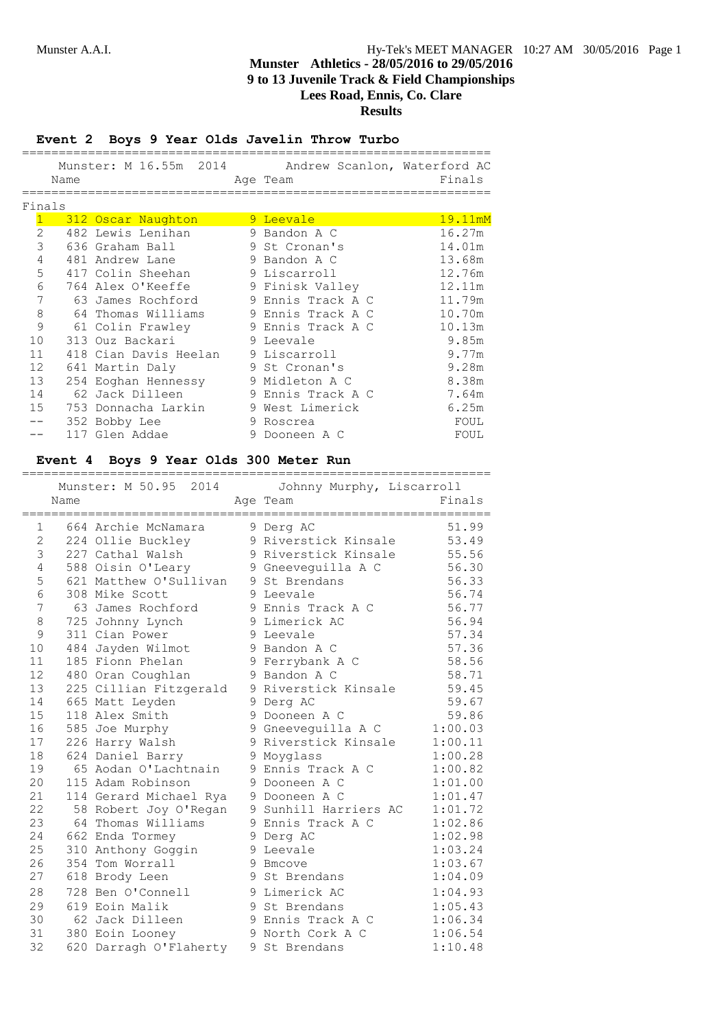### **Event 2 Boys 9 Year Olds Javelin Throw Turbo**

|                |      | Munster: M 16.55m 2014 Andrew Scanlon, Waterford AC |   |                   |         |
|----------------|------|-----------------------------------------------------|---|-------------------|---------|
|                | Name |                                                     |   | Age Team          | Finals  |
|                |      |                                                     |   |                   |         |
| Finals         |      |                                                     |   |                   |         |
|                |      | 312 Oscar Naughton                                  |   | 9 Leevale         | 19.11mM |
| $\mathfrak{D}$ |      | 482 Lewis Lenihan                                   |   | 9 Bandon A C      | 16.27m  |
| 3              |      | 636 Graham Ball                                     |   | 9 St Cronan's     | 14.01m  |
| 4              |      | 481 Andrew Lane                                     |   | 9 Bandon A C      | 13.68m  |
| 5              |      | 417 Colin Sheehan                                   |   | 9 Liscarroll      | 12.76m  |
| 6              |      | 764 Alex O'Keeffe                                   |   | 9 Finisk Valley   | 12.11m  |
| 7              |      | 63 James Rochford                                   |   | 9 Ennis Track A C | 11.79m  |
| 8              |      | 64 Thomas Williams                                  |   | 9 Ennis Track A C | 10.70m  |
| 9              |      | 61 Colin Frawley                                    |   | 9 Ennis Track A C | 10.13m  |
| 10             |      | 313 Ouz Backari                                     |   | 9 Leevale         | 9.85m   |
| 11             |      | 418 Cian Davis Heelan                               |   | 9 Liscarroll      | 9.77m   |
| 12             |      | 641 Martin Daly                                     |   | 9 St Cronan's     | 9.28m   |
| 13             |      | 254 Eoghan Hennessy                                 |   | 9 Midleton A C    | 8.38m   |
| 14             |      | 62 Jack Dilleen                                     |   | 9 Ennis Track A C | 7.64m   |
| 15             |      | 753 Donnacha Larkin                                 |   | 9 West Limerick   | 6.25m   |
|                |      | 352 Bobby Lee                                       | 9 | Roscrea           | FOUL    |
|                |      | 117 Glen Addae                                      | 9 | Dooneen A C       | FOUL    |

# **Event 4 Boys 9 Year Olds 300 Meter Run**

|                   | Name           |                        |          | Munster: M 50.95 2014 Johnny Murphy, Liscarroll<br>Age Team | Finals  |
|-------------------|----------------|------------------------|----------|-------------------------------------------------------------|---------|
|                   | ============== |                        | ======== | _______________________________                             |         |
|                   | 1              | 664 Archie McNamara    |          | 9 Derg AC                                                   | 51.99   |
| $\mathbf{2}$<br>3 |                | 224 Ollie Buckley      |          | 9 Riverstick Kinsale                                        | 53.49   |
|                   |                | 227 Cathal Walsh       |          | 9 Riverstick Kinsale                                        | 55.56   |
| 4                 |                | 588 Oisin O'Leary      |          | 9 Gneevequilla A C                                          | 56.30   |
| 5                 |                | 621 Matthew O'Sullivan |          | 9 St Brendans                                               | 56.33   |
| 6                 |                | 308 Mike Scott         |          | 9 Leevale                                                   | 56.74   |
| 7                 |                | 63 James Rochford      |          | 9 Ennis Track A C                                           | 56.77   |
| $\,8\,$           |                | 725 Johnny Lynch       |          | 9 Limerick AC                                               | 56.94   |
| 9                 |                | 311 Cian Power         |          | 9 Leevale                                                   | 57.34   |
| 10                |                | 484 Jayden Wilmot      |          | 9 Bandon A C                                                | 57.36   |
| 11                |                | 185 Fionn Phelan       |          | 9 Ferrybank A C                                             | 58.56   |
| 12                |                | 480 Oran Coughlan      |          | 9 Bandon A C                                                | 58.71   |
| 13                |                | 225 Cillian Fitzgerald |          | 9 Riverstick Kinsale                                        | 59.45   |
| 14                |                | 665 Matt Leyden        |          | 9 Derg AC                                                   | 59.67   |
| 15                |                | 118 Alex Smith         |          | 9 Dooneen A C                                               | 59.86   |
| 16                |                | 585 Joe Murphy         |          | 9 Gneeveguilla A C                                          | 1:00.03 |
| 17                |                | 226 Harry Walsh        |          | 9 Riverstick Kinsale                                        | 1:00.11 |
| 18                |                | 624 Daniel Barry       |          | 9 Moyglass                                                  | 1:00.28 |
| 19                |                | 65 Aodan O'Lachtnain   |          | 9 Ennis Track A C                                           | 1:00.82 |
| 20                |                | 115 Adam Robinson      |          | 9 Dooneen A C                                               | 1:01.00 |
| 21                |                | 114 Gerard Michael Rya |          | 9 Dooneen A C                                               | 1:01.47 |
| 22                |                | 58 Robert Joy O'Regan  |          | 9 Sunhill Harriers AC                                       | 1:01.72 |
| 23                |                | 64 Thomas Williams     |          | 9 Ennis Track A C                                           | 1:02.86 |
| 24                |                | 662 Enda Tormey        |          | 9 Derg AC                                                   | 1:02.98 |
| 25                |                | 310 Anthony Goggin     |          | 9 Leevale                                                   | 1:03.24 |
| 26                |                | 354 Tom Worrall        |          | 9 Bmcove                                                    | 1:03.67 |
| 27                |                | 618 Brody Leen         |          | 9 St Brendans                                               | 1:04.09 |
| 28                |                | 728 Ben O'Connell      |          | 9 Limerick AC                                               | 1:04.93 |
| 29                |                | 619 Eoin Malik         |          | 9 St Brendans                                               | 1:05.43 |
| 30                |                | 62 Jack Dilleen        |          | 9 Ennis Track A C                                           | 1:06.34 |
| 31                |                | 380 Eoin Looney        |          | 9 North Cork A C                                            | 1:06.54 |
| 32                |                | 620 Darragh O'Flaherty |          | 9 St Brendans                                               | 1:10.48 |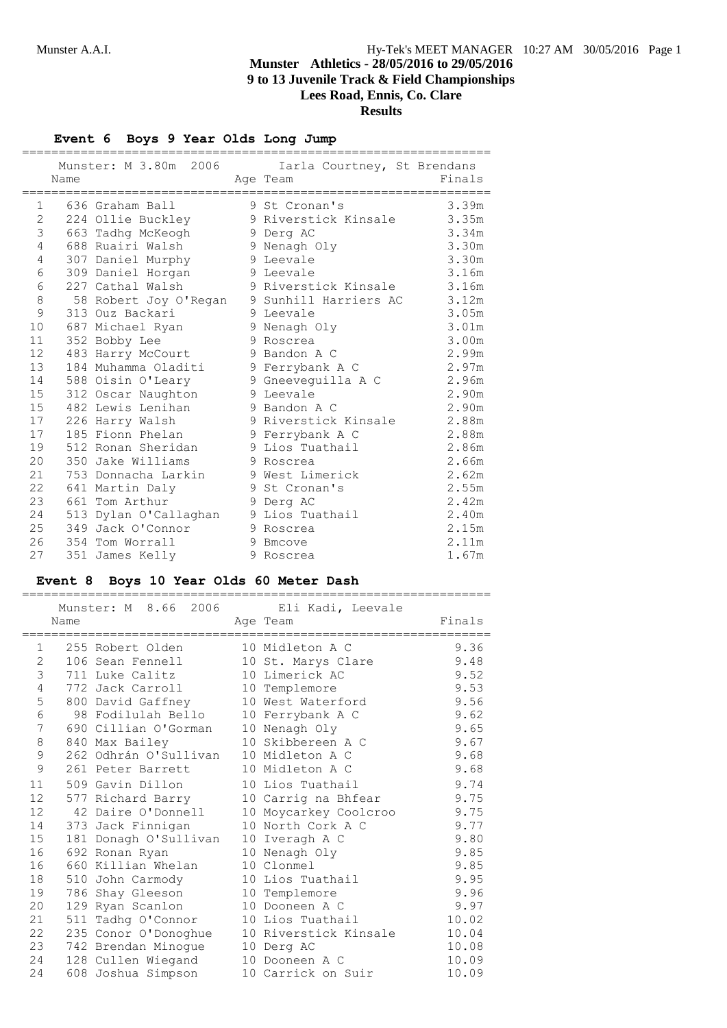### **Event 6 Boys 9 Year Olds Long Jump**

|              | Name | Munster: M 3.80m 2006 | Iarla Courtney, St Brendans<br>Age Team | Finals |
|--------------|------|-----------------------|-----------------------------------------|--------|
| $\mathbf{1}$ |      | 636 Graham Ball       | 9 St Cronan's                           | 3.39m  |
| $\mathbf{2}$ |      | 224 Ollie Buckley     | 9 Riverstick Kinsale                    | 3.35m  |
| 3            |      | 663 Tadhq McKeogh     | 9 Derg AC                               | 3.34m  |
| 4            |      | 688 Ruairi Walsh      | 9 Nenagh Oly                            | 3.30m  |
| 4            |      | 307 Daniel Murphy     | 9 Leevale                               | 3.30m  |
| 6            |      | 309 Daniel Horgan     | 9 Leevale                               | 3.16m  |
| $\epsilon$   |      | 227 Cathal Walsh      | 9 Riverstick Kinsale                    | 3.16m  |
| 8            |      | 58 Robert Joy O'Regan | 9 Sunhill Harriers AC                   | 3.12m  |
| 9            |      | 313 Ouz Backari       | 9 Leevale                               | 3.05m  |
| 10           |      | 687 Michael Ryan      | 9 Nenagh Oly                            | 3.01m  |
| 11           |      | 352 Bobby Lee         | 9 Roscrea                               | 3.00m  |
| 12           |      | 483 Harry McCourt     | 9 Bandon A C                            | 2.99m  |
| 13           |      | 184 Muhamma Oladiti   | 9 Ferrybank A C                         | 2.97m  |
| 14           |      | 588 Oisin O'Leary     | 9 Gneeveguilla A C                      | 2.96m  |
| 15           |      | 312 Oscar Naughton    | 9 Leevale                               | 2.90m  |
| 15           |      | 482 Lewis Lenihan     | 9 Bandon A C                            | 2.90m  |
| 17           |      | 226 Harry Walsh       | 9 Riverstick Kinsale                    | 2.88m  |
| 17           |      | 185 Fionn Phelan      | 9 Ferrybank A C                         | 2.88m  |
| 19           |      | 512 Ronan Sheridan    | 9 Lios Tuathail                         | 2.86m  |
| 20           | 350  | Jake Williams         | 9 Roscrea                               | 2.66m  |
| 21           |      | 753 Donnacha Larkin   | 9 West Limerick                         | 2.62m  |
| 22           |      | 641 Martin Daly       | 9 St Cronan's                           | 2.55m  |
| 23           |      | 661 Tom Arthur        | 9 Derg AC                               | 2.42m  |
| 24           |      | 513 Dylan O'Callaghan | 9 Lios Tuathail                         | 2.40m  |
| 25           |      | 349 Jack O'Connor     | 9 Roscrea                               | 2.15m  |
| 26           |      | 354 Tom Worrall       | 9 Bmcove                                | 2.11m  |
| 27           |      | 351 James Kelly       | 9 Roscrea                               | 1.67m  |

#### **Event 8 Boys 10 Year Olds 60 Meter Dash** ================================================================

|                   |      |                                       | Munster: M 8.66 2006 Eli Kadi, Leevale |        |
|-------------------|------|---------------------------------------|----------------------------------------|--------|
|                   | Name |                                       | Age Team                               | Finals |
| $\mathbf{1}$      |      | 255 Robert Olden                      | 10 Midleton A C                        | 9.36   |
| 2                 |      | 106 Sean Fennell                      | 10 St. Marys Clare                     | 9.48   |
| 3                 |      | 711 Luke Calitz                       | 10 Limerick AC                         | 9.52   |
| 4                 |      | 772 Jack Carroll                      | 10 Templemore                          | 9.53   |
| 5                 |      | 800 David Gaffney                     | 10 West Waterford                      | 9.56   |
| 6                 |      | 98 Fodilulah Bello                    | 10 Ferrybank A C                       | 9.62   |
| 7                 |      | 690 Cillian O'Gorman 10 Nenagh Oly    |                                        | 9.65   |
| 8                 |      | 840 Max Bailey                        | 10 Skibbereen A C                      | 9.67   |
| $\mathsf 9$       |      | 262 Odhrán O'Sullivan 10 Midleton A C |                                        | 9.68   |
| 9                 |      | 261 Peter Barrett                     | 10 Midleton A C                        | 9.68   |
| 11                |      | 509 Gavin Dillon                      | 10 Lios Tuathail                       | 9.74   |
| $12 \overline{ }$ |      | 577 Richard Barry                     | 10 Carrig na Bhfear                    | 9.75   |
| $12 \overline{c}$ |      | 42 Daire O'Donnell                    | 10 Moycarkey Coolcroo                  | 9.75   |
| 14                |      | 373 Jack Finnigan                     | 10 North Cork A C                      | 9.77   |
| 15                |      | 181 Donagh O'Sullivan                 | 10 Iveragh A C                         | 9.80   |
| 16                |      | 692 Ronan Ryan                        | 10 Nenagh Oly                          | 9.85   |
| 16                |      | 660 Killian Whelan                    | 10 Clonmel                             | 9.85   |
| 18                |      | 510 John Carmody                      | 10 Lios Tuathail                       | 9.95   |
| 19                |      | 786 Shay Gleeson                      | 10 Templemore                          | 9.96   |
| 20                |      | 129 Ryan Scanlon                      | 10 Dooneen A C                         | 9.97   |
| 21                |      | 511 Tadhq O'Connor                    | 10 Lios Tuathail                       | 10.02  |
| 22                |      | 235 Conor O'Donoghue                  | 10 Riverstick Kinsale                  | 10.04  |
| 23                |      | 742 Brendan Minogue                   | 10 Derg AC                             | 10.08  |
| 24                |      | 128 Cullen Wiegand                    | 10 Dooneen A C                         | 10.09  |
| 24                |      | 608 Joshua Simpson                    | 10 Carrick on Suir                     | 10.09  |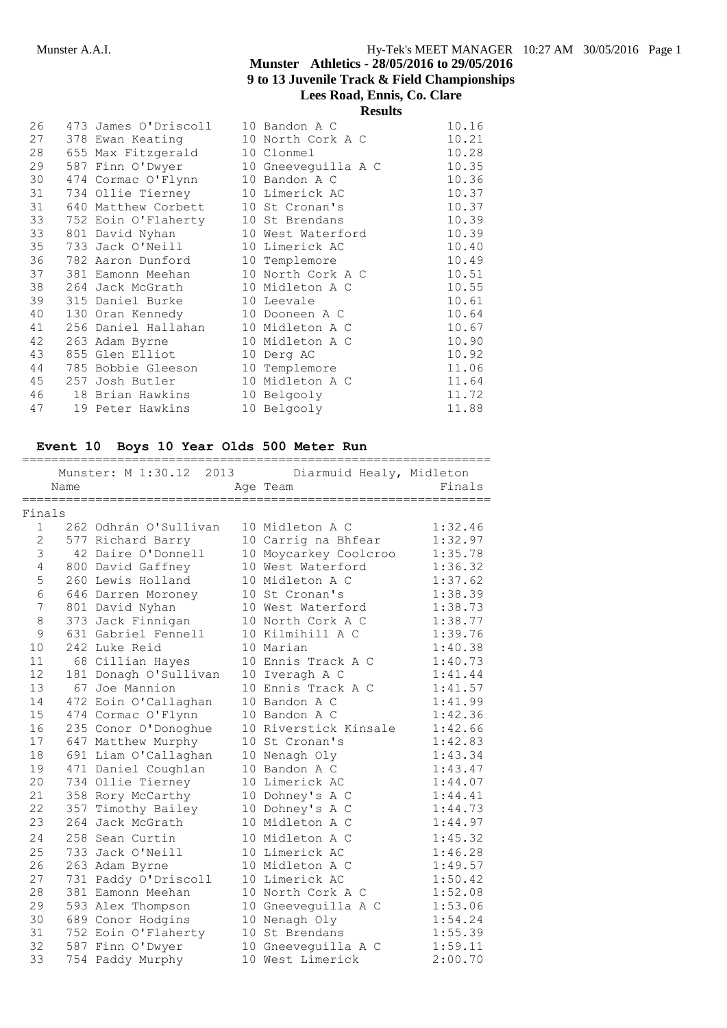|    |                                      | Results           |       |
|----|--------------------------------------|-------------------|-------|
| 26 | 473 James O'Driscoll 10 Bandon A C   |                   | 10.16 |
| 27 | 378 Ewan Keating 10 North Cork A C   |                   | 10.21 |
| 28 | 655 Max Fitzgerald                   | 10 Clonmel        | 10.28 |
| 29 | 587 Finn O'Dwyer 10 Gneeveguilla A C |                   | 10.35 |
| 30 | 474 Cormac O'Flynn 10 Bandon A C     |                   | 10.36 |
| 31 | 734 Ollie Tierney                    | 10 Limerick AC    | 10.37 |
| 31 | 640 Matthew Corbett                  | 10 St Cronan's    | 10.37 |
| 33 | 752 Eoin O'Flaherty                  | 10 St Brendans    | 10.39 |
| 33 | 801 David Nyhan                      | 10 West Waterford | 10.39 |
| 35 | 733 Jack O'Neill 10 Limerick AC      |                   | 10.40 |
| 36 | 782 Aaron Dunford                    | 10 Templemore     | 10.49 |
| 37 | 381 Eamonn Meehan                    | 10 North Cork A C | 10.51 |
| 38 | 264 Jack McGrath 10 Midleton A C     |                   | 10.55 |
| 39 | 315 Daniel Burke 10 Leevale          |                   | 10.61 |
| 40 | 130 Oran Kennedy 10 Dooneen A C      |                   | 10.64 |
| 41 | 256 Daniel Hallahan 10 Midleton A C  |                   | 10.67 |
| 42 | 263 Adam Byrne 10 Midleton A C       |                   | 10.90 |
| 43 | 855 Glen Elliot                      | 10 Derg AC        | 10.92 |
| 44 | 785 Bobbie Gleeson                   | 10 Templemore     | 11.06 |
| 45 | 257 Josh Butler 10 Midleton A C      |                   | 11.64 |
| 46 | 18 Brian Hawkins                     | 10 Belgooly       | 11.72 |
| 47 | 19 Peter Hawkins                     | 10 Belgooly       | 11.88 |
|    |                                      |                   |       |

### **Event 10 Boys 10 Year Olds 500 Meter Run**

|                | Name | Munster: M 1:30.12 2013  | Diarmuid Healy, Midleton<br>Age Team | Finals      |
|----------------|------|--------------------------|--------------------------------------|-------------|
|                |      | ======================== |                                      | ----------- |
| Finals         |      |                          |                                      |             |
| $\mathbf{1}$   |      | 262 Odhrán O'Sullivan    | 10 Midleton A C                      | 1:32.46     |
| $\overline{2}$ |      | 577 Richard Barry        | 10 Carrig na Bhfear                  | 1:32.97     |
| 3              |      | 42 Daire O'Donnell       | 10 Moycarkey Coolcroo                | 1:35.78     |
| 4              |      | 800 David Gaffney        | 10 West Waterford                    | 1:36.32     |
| 5              |      | 260 Lewis Holland        | 10 Midleton A C                      | 1:37.62     |
| 6              |      | 646 Darren Moroney       | 10 St Cronan's                       | 1:38.39     |
| 7              |      | 801 David Nyhan          | 10 West Waterford                    | 1:38.73     |
| 8              |      | 373 Jack Finnigan        | 10 North Cork A C                    | 1:38.77     |
| 9              |      | 631 Gabriel Fennell      | 10 Kilmihill A C                     | 1:39.76     |
| 10             |      | 242 Luke Reid            | 10 Marian                            | 1:40.38     |
| 11             |      | 68 Cillian Hayes         | 10 Ennis Track A C                   | 1:40.73     |
| 12             |      | 181 Donagh O'Sullivan    | 10 Iveragh A C                       | 1:41.44     |
| 13             |      | 67 Joe Mannion           | 10 Ennis Track A C                   | 1:41.57     |
| 14             |      | 472 Eoin O'Callaghan     | 10 Bandon A C                        | 1:41.99     |
| 15             |      | 474 Cormac O'Flynn       | 10 Bandon A C                        | 1:42.36     |
| 16             |      | 235 Conor O'Donoghue     | 10 Riverstick Kinsale                | 1:42.66     |
| 17             |      | 647 Matthew Murphy       | 10 St Cronan's                       | 1:42.83     |
| 18             |      | 691 Liam O'Callaghan     | 10 Nenagh Oly                        | 1:43.34     |
| 19             |      | 471 Daniel Coughlan      | 10 Bandon A C                        | 1:43.47     |
| 20             |      | 734 Ollie Tierney        | 10 Limerick AC                       | 1:44.07     |
| 21             |      | 358 Rory McCarthy        | 10 Dohney's A C                      | 1:44.41     |
| 22             |      | 357 Timothy Bailey       | 10 Dohney's A C                      | 1:44.73     |
| 23             |      | 264 Jack McGrath         | 10 Midleton A C                      | 1:44.97     |
| 24             |      | 258 Sean Curtin          | 10 Midleton A C                      | 1:45.32     |
| 25             |      | 733 Jack O'Neill         | 10 Limerick AC                       | 1:46.28     |
| 26             |      | 263 Adam Byrne           | 10 Midleton A C                      | 1:49.57     |
| 27             |      | 731 Paddy O'Driscoll     | 10 Limerick AC                       | 1:50.42     |
| 28             |      | 381 Eamonn Meehan        | 10 North Cork A C                    | 1:52.08     |
| 29             |      | 593 Alex Thompson        | 10 Gneeveguilla A C                  | 1:53.06     |
| 30             |      | 689 Conor Hodgins        | 10 Nenagh Oly                        | 1:54.24     |
| 31             |      | 752 Eoin O'Flaherty      | 10 St Brendans                       | 1:55.39     |
| 32             |      | 587 Finn O'Dwyer         | 10 Gneeveguilla A C                  | 1:59.11     |
| 33             |      | 754 Paddy Murphy         | 10 West Limerick                     | 2:00.70     |
|                |      |                          |                                      |             |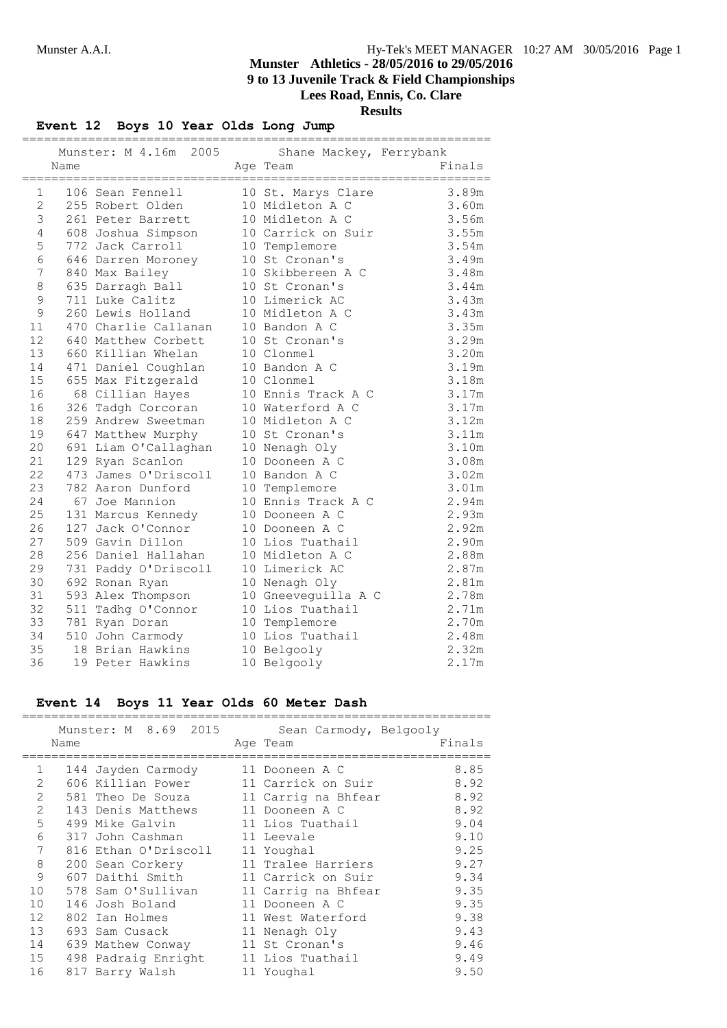**Results**

### **Event 12 Boys 10 Year Olds Long Jump**

|             |             | Munster: M 4.16m 2005 | Shane Mackey, Ferrybank | ======================= |
|-------------|-------------|-----------------------|-------------------------|-------------------------|
|             | Name        |                       | Age Team                | Finals                  |
| 1           | :========== | 106 Sean Fennell      | 10 St. Marys Clare      | 3.89m                   |
| 2           |             | 255 Robert Olden      | 10 Midleton A C         | 3.60m                   |
| $\mathsf 3$ |             | 261 Peter Barrett     | 10 Midleton A C         | 3.56m                   |
| 4           |             | 608 Joshua Simpson    | 10 Carrick on Suir      | 3.55m                   |
| 5           |             | 772 Jack Carroll      | 10 Templemore           | 3.54m                   |
| 6           |             | 646 Darren Moroney    | 10 St Cronan's          | 3.49m                   |
| 7           |             | 840 Max Bailey        | 10 Skibbereen A C       | 3.48m                   |
| $\,8\,$     |             | 635 Darragh Ball      | 10 St Cronan's          | 3.44m                   |
| $\mathsf 9$ |             | 711 Luke Calitz       | 10 Limerick AC          | 3.43m                   |
| $\mathsf 9$ |             | 260 Lewis Holland     | 10 Midleton A C         | 3.43m                   |
| 11          |             | 470 Charlie Callanan  | 10 Bandon A C           | 3.35m                   |
| 12          |             | 640 Matthew Corbett   | 10 St Cronan's          | 3.29m                   |
| 13          |             | 660 Killian Whelan    | 10 Clonmel              | 3.20m                   |
| 14          |             | 471 Daniel Coughlan   | 10 Bandon A C           | 3.19m                   |
| 15          |             | 655 Max Fitzgerald    | 10 Clonmel              | 3.18m                   |
| 16          |             | 68 Cillian Hayes      | 10 Ennis Track A C      | 3.17m                   |
| 16          |             | 326 Tadgh Corcoran    | 10 Waterford A C        | 3.17m                   |
| 18          |             | 259 Andrew Sweetman   | 10 Midleton A C         | 3.12m                   |
| 19          |             | 647 Matthew Murphy    | 10 St Cronan's          | 3.11m                   |
| 20          |             | 691 Liam O'Callaghan  | 10 Nenagh Oly           | 3.10m                   |
| 21          |             | 129 Ryan Scanlon      | 10 Dooneen A C          | 3.08m                   |
| 22          |             | 473 James O'Driscoll  | 10 Bandon A C           | 3.02m                   |
| 23          |             | 782 Aaron Dunford     | 10 Templemore           | 3.01m                   |
| 24          |             | 67 Joe Mannion        | 10 Ennis Track A C      | 2.94m                   |
| 25          |             | 131 Marcus Kennedy    | 10 Dooneen A C          | 2.93m                   |
| 26          |             | 127 Jack O'Connor     | 10 Dooneen A C          | 2.92m                   |
| 27          |             | 509 Gavin Dillon      | 10 Lios Tuathail        | 2.90m                   |
| 28          |             | 256 Daniel Hallahan   | 10 Midleton A C         | 2.88m                   |
| 29          |             | 731 Paddy O'Driscoll  | 10 Limerick AC          | 2.87m                   |
| 30          |             | 692 Ronan Ryan        | 10 Nenagh Oly           | 2.81m                   |
| 31          |             | 593 Alex Thompson     | 10 Gneeveguilla A C     | 2.78m                   |
| 32          |             | 511 Tadhg O'Connor    | 10 Lios Tuathail        | 2.71m                   |
| 33          |             | 781 Ryan Doran        | 10 Templemore           | 2.70m                   |
| 34          |             | 510 John Carmody      | 10 Lios Tuathail        | 2.48m                   |
| 35          |             | 18 Brian Hawkins      | 10 Belgooly             | 2.32m                   |
| 36          |             | 19 Peter Hawkins      | 10 Belgooly             | 2.17m                   |

### **Event 14 Boys 11 Year Olds 60 Meter Dash**

|                   |      | Munster: M 8.69 2015              | Sean Carmody, Belgooly |        |
|-------------------|------|-----------------------------------|------------------------|--------|
|                   | Name |                                   | Age Team               | Finals |
| $\mathbf{1}$      |      | 144 Jayden Carmody                | 11 Dooneen A C         | 8.85   |
| 2                 |      | 606 Killian Power                 | 11 Carrick on Suir     | 8.92   |
| 2                 |      | 581 Theo De Souza                 | 11 Carrig na Bhfear    | 8.92   |
| $\overline{2}$    |      | 143 Denis Matthews 11 Dooneen A C |                        | 8.92   |
| 5                 |      | 499 Mike Galvin                   | 11 Lios Tuathail       | 9.04   |
|                   |      |                                   |                        |        |
| 6                 |      | 317 John Cashman                  | 11 Leevale             | 9.10   |
| 7                 |      | 816 Ethan O'Driscoll              | 11 Youghal             | 9.25   |
| $\,8\,$           |      | 200 Sean Corkery                  | 11 Tralee Harriers     | 9.27   |
| 9                 |      | 607 Daithi Smith                  | 11 Carrick on Suir     | 9.34   |
| 10                |      | 578 Sam O'Sullivan                | 11 Carrig na Bhfear    | 9.35   |
| 10                |      | 146 Josh Boland                   | 11 Dooneen A C         | 9.35   |
| $12 \overline{ }$ |      | 802 Ian Holmes                    | 11 West Waterford      | 9.38   |
| 13                |      | 693 Sam Cusack                    | 11 Nenagh Oly          | 9.43   |
| 14                |      | 639 Mathew Conway                 | 11 St Cronan's         | 9.46   |
| 15                |      | 498 Padraig Enright               | 11 Lios Tuathail       | 9.49   |
| 16                |      | 817 Barry Walsh                   | 11 Youghal             | 9.50   |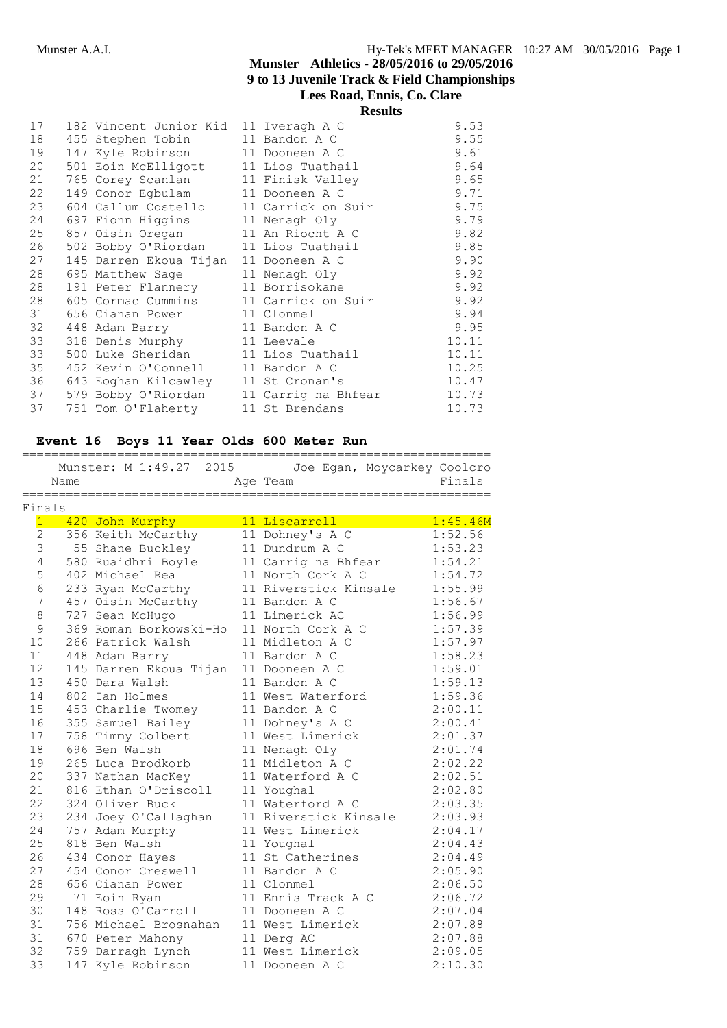**Results**

|    |                                         | 11654165 |       |
|----|-----------------------------------------|----------|-------|
| 17 | 182 Vincent Junior Kid 11 Iveragh A C   |          | 9.53  |
| 18 | 455 Stephen Tobin 11 Bandon A C         |          | 9.55  |
| 19 | 147 Kyle Robinson 11 Dooneen A C        |          | 9.61  |
| 20 | 501 Eoin McElligott 11 Lios Tuathail    |          | 9.64  |
| 21 | 765 Corey Scanlan 11 Finisk Valley      |          | 9.65  |
| 22 | 149 Conor Eqbulam 11 Dooneen A C        |          | 9.71  |
| 23 | 604 Callum Costello 11 Carrick on Suir  |          | 9.75  |
| 24 | 697 Fionn Higgins 11 Nenagh Oly         |          | 9.79  |
| 25 | 857 Oisin Oregan 11 An Riocht A C       |          | 9.82  |
| 26 | 502 Bobby O'Riordan 11 Lios Tuathail    |          | 9.85  |
| 27 | 145 Darren Ekoua Tijan 11 Dooneen A C   |          | 9.90  |
| 28 | 695 Matthew Sage 11 Nenagh Oly          |          | 9.92  |
| 28 | 191 Peter Flannery 11 Borrisokane       |          | 9.92  |
| 28 | 605 Cormac Cummins 11 Carrick on Suir   |          | 9.92  |
| 31 | 656 Cianan Power 11 Clonmel             |          | 9.94  |
| 32 | 448 Adam Barry 11 Bandon A C            |          | 9.95  |
| 33 | 318 Denis Murphy 11 Leevale             |          | 10.11 |
| 33 | 500 Luke Sheridan 11 Lios Tuathail      |          | 10.11 |
| 35 | 452 Kevin O'Connell 11 Bandon A C       |          | 10.25 |
| 36 | 643 Eoghan Kilcawley 11 St Cronan's     |          | 10.47 |
| 37 | 579 Bobby O'Riordan 11 Carrig na Bhfear |          | 10.73 |
| 37 | 751 Tom O'Flaherty 11 St Brendans       |          | 10.73 |

# **Event 16 Boys 11 Year Olds 600 Meter Run**

|                  |      |                        | Munster: M 1:49.27 2015 Joe Egan, Moycarkey Coolcro |          |
|------------------|------|------------------------|-----------------------------------------------------|----------|
|                  | Name |                        | Age Team                                            | Finals   |
| Finals           |      | .====================  |                                                     |          |
| $\mathbf{1}$     |      | 420 John Murphy        | 11 Liscarroll                                       | 1:45.46M |
| $\overline{2}$   |      | 356 Keith McCarthy     | 11 Dohney's A C                                     | 1:52.56  |
| $\mathsf 3$      |      | 55 Shane Buckley       | 11 Dundrum A C                                      | 1:53.23  |
| $\overline{4}$   |      | 580 Ruaidhri Boyle     | 11 Carrig na Bhfear                                 | 1:54.21  |
| 5                |      | 402 Michael Rea        | 11 North Cork A C                                   | 1:54.72  |
| $\epsilon$       |      | 233 Ryan McCarthy      | 11 Riverstick Kinsale                               | 1:55.99  |
| $\boldsymbol{7}$ |      | 457 Oisin McCarthy     | 11 Bandon A C                                       | 1:56.67  |
| $\,8\,$          |      | 727 Sean McHugo        | 11 Limerick AC                                      | 1:56.99  |
| $\overline{9}$   |      | 369 Roman Borkowski-Ho | 11 North Cork A C                                   | 1:57.39  |
| 10               |      | 266 Patrick Walsh      | 11 Midleton A C                                     | 1:57.97  |
| 11               |      | 448 Adam Barry         | 11 Bandon A C                                       | 1:58.23  |
| 12               |      | 145 Darren Ekoua Tijan | 11 Dooneen A C                                      | 1:59.01  |
| 13               |      | 450 Dara Walsh         | 11 Bandon A C                                       | 1:59.13  |
| 14               |      | 802 Ian Holmes         | 11 West Waterford                                   | 1:59.36  |
| 15               |      | 453 Charlie Twomey     | 11 Bandon A C                                       | 2:00.11  |
| 16               |      | 355 Samuel Bailey      | 11 Dohney's A C                                     | 2:00.41  |
| 17               |      | 758 Timmy Colbert      | 11 West Limerick                                    | 2:01.37  |
| 18               |      | 696 Ben Walsh          | 11 Nenagh Oly                                       | 2:01.74  |
| 19               |      | 265 Luca Brodkorb      | 11 Midleton A C                                     | 2:02.22  |
| 20               |      | 337 Nathan MacKey      | 11 Waterford A C                                    | 2:02.51  |
| 21               |      | 816 Ethan O'Driscoll   | 11 Youghal                                          | 2:02.80  |
| 22               |      | 324 Oliver Buck        | 11 Waterford A C                                    | 2:03.35  |
| 23               |      | 234 Joey O'Callaghan   | 11 Riverstick Kinsale                               | 2:03.93  |
| 24               |      | 757 Adam Murphy        | 11 West Limerick                                    | 2:04.17  |
| 25               |      | 818 Ben Walsh          | 11 Youghal                                          | 2:04.43  |
| 26               |      | 434 Conor Hayes        | 11 St Catherines                                    | 2:04.49  |
| 27               |      | 454 Conor Creswell     | 11 Bandon A C                                       | 2:05.90  |
| 28               |      | 656 Cianan Power       | 11 Clonmel                                          | 2:06.50  |
| 29               |      | 71 Eoin Ryan           | 11 Ennis Track A C                                  | 2:06.72  |
| 30               |      | 148 Ross O'Carroll     | 11 Dooneen A C                                      | 2:07.04  |
| 31               |      | 756 Michael Brosnahan  | 11 West Limerick                                    | 2:07.88  |
| 31               |      | 670 Peter Mahony       | 11 Derg AC                                          | 2:07.88  |
| 32               |      | 759 Darragh Lynch      | 11 West Limerick                                    | 2:09.05  |
| 33               |      | 147 Kyle Robinson      | 11 Dooneen A C                                      | 2:10.30  |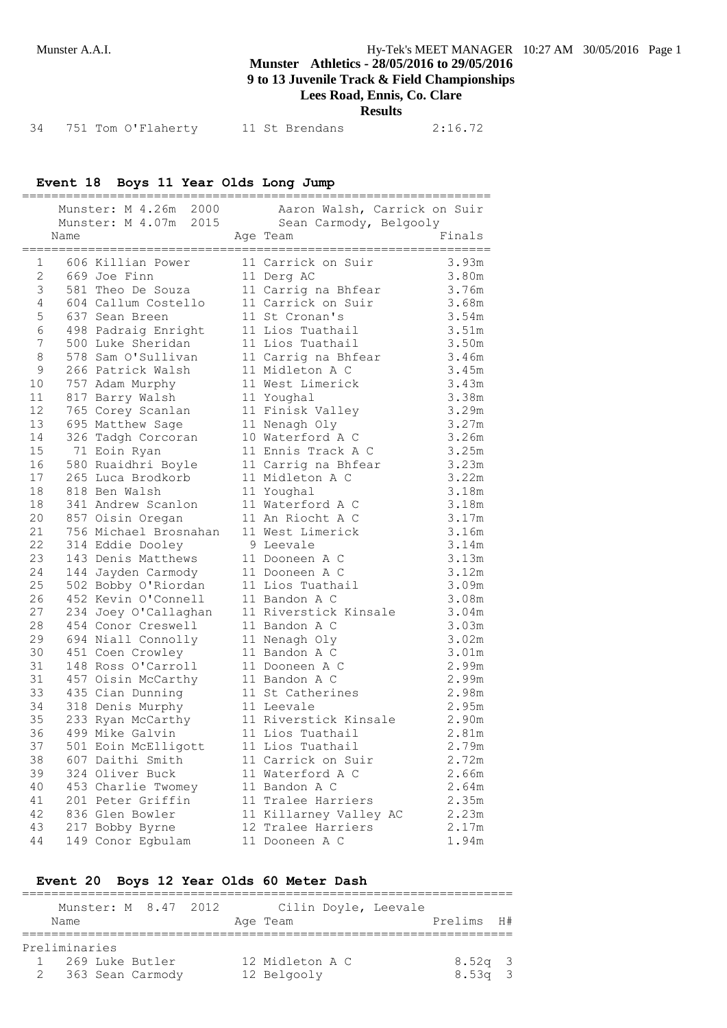# **Munster Athletics - 28/05/2016 to 29/05/2016 9 to 13 Juvenile Track & Field Championships**

**Lees Road, Ennis, Co. Clare**

**Results**

| 34 | 751 Tom O'Flaherty | 11 St Brendans | 2:16.72 |
|----|--------------------|----------------|---------|

### **Event 18 Boys 11 Year Olds Long Jump**

|                 |                        |                                                          | Munster: M 4.26m 2000 Aaron Walsh, Carrick on Suir               |                |
|-----------------|------------------------|----------------------------------------------------------|------------------------------------------------------------------|----------------|
|                 |                        |                                                          | Munster: M 4.07m 2015 Sean Carmody, Belgooly                     | Finals         |
|                 | Name                   |                                                          | Age Team                                                         |                |
|                 | $1 \quad \blacksquare$ |                                                          | 606 Killian Power 11 Carrick on Suir 3.93m                       |                |
| $2^{\circ}$     |                        | 669 Joe Finn                                             |                                                                  | 3.80m          |
| 3               |                        |                                                          | 669 Joe Finn 11 Derg AC<br>581 Theo De Souza 11 Carrig na Bhfear | 3.76m          |
| $\overline{4}$  |                        |                                                          | 604 Callum Costello 11 Carrick on Suir 3.68m                     |                |
| 5               |                        | 637 Sean Breen                                           | 11 St Cronan's                                                   | 3.54m          |
| 6               |                        | 498 Padraig Enright 11 Lios Tuathail                     |                                                                  | 3.51m          |
| $7\phantom{.}$  |                        | 500 Luke Sheridan                                        | 11 Lios Tuathail                                                 | 3.50m          |
| 8               |                        | 578 Sam O'Sullivan                                       |                                                                  | 3.46m          |
| 9               |                        |                                                          |                                                                  | 3.45m          |
| 10              |                        | 757 Adam Murphy                                          | 11 West Limerick                                                 | 3.43m          |
| 11              |                        | 817 Barry Walsh                                          | 11 Youghal                                                       | 3.38m          |
| 12 <sup>°</sup> |                        | 765 Corey Scanlan 11 Finisk Valley                       |                                                                  | 3.29m          |
| 13              |                        | 695 Matthew Sage                                         | 11 Nenagh Oly                                                    | 3.27m          |
| 14              |                        | 326 Tadgh Corcoran                                       | 10 Waterford A C                                                 | 3.26m          |
| 15              |                        | 71 Eoin Ryan                                             | 11 Ennis Track A C                                               | 3.25m          |
| 16              |                        | 580 Ruaidhri Boyle 11 Carrig na Bhfear                   |                                                                  | 3.23m          |
| 17              |                        | 265 Luca Brodkorb 11 Midleton A C                        |                                                                  | 3.22m          |
| 18              |                        | 818 Ben Walsh                                            | 11 Youghal                                                       | 3.18m          |
| 18              |                        | 341 Andrew Scanlon                                       | 11 Waterford A C                                                 | 3.18m          |
| 20              |                        | 857 Oisin Oregan                                         | 11 An Riocht A C                                                 | 3.17m          |
| 21              |                        | 756 Michael Brosnahan 11 West Limerick                   |                                                                  | 3.16m          |
| 22              |                        | 314 Eddie Dooley                                         | 9 Leevale                                                        | 3.14m          |
| 23              |                        | 143 Denis Matthews                                       | 11 Dooneen A C                                                   | 3.13m          |
| 24              |                        | 144 Jayden Carmody                                       | 11 Dooneen A C                                                   | 3.12m          |
| 25              |                        | 502 Bobby O'Riordan                                      | 11 Lios Tuathail                                                 | 3.09m          |
| 26<br>27        |                        | 452 Kevin O'Connell                                      | 11 Bandon A C                                                    | 3.08m<br>3.04m |
| 28              |                        | 234 Joey O'Callaghan<br>454 Conor Creswell 11 Bandon A C | 11 Riverstick Kinsale                                            | 3.03m          |
| 29              |                        | 694 Niall Connolly 11 Nenagh Oly                         |                                                                  |                |
| 30              |                        | 451 Coen Crowley                                         | 11 Bandon A C                                                    | 3.02m<br>3.01m |
| 31              |                        | 148 Ross O'Carroll                                       | 11 Dooneen A C                                                   | 2.99m          |
| 31              |                        |                                                          |                                                                  | 2.99m          |
| 33              |                        | 457 Oisin McCarthy<br>435 Cian Dunning                   | 11 Bandon A C<br>11 St Catherines                                | 2.98m          |
| 34              |                        | 318 Denis Murphy 11 Leevale                              |                                                                  | 2.95m          |
| 35              |                        |                                                          | 233 Ryan McCarthy 11 Riverstick Kinsale                          | 2.90m          |
| 36              |                        | 499 Mike Galvin                                          | 11 Lios Tuathail                                                 | 2.81m          |
| 37              |                        | 501 Eoin McElligott                                      | 11 Lios Tuathail                                                 | 2.79m          |
| 38              |                        | 607 Daithi Smith                                         | 11 Carrick on Suir                                               | 2.72m          |
| 39              |                        | 324 Oliver Buck                                          | 11 Waterford A C                                                 | 2.66m          |
| 40              |                        | 453 Charlie Twomey                                       | 11 Bandon A C                                                    | 2.64m          |
| 41              |                        | 201 Peter Griffin                                        | 11 Tralee Harriers                                               | 2.35m          |
| 42              |                        | 836 Glen Bowler                                          | 11 Killarney Valley AC                                           | 2.23m          |
| 43              |                        | 217 Bobby Byrne                                          | 12 Tralee Harriers                                               | 2.17m          |
| 44              |                        | 149 Conor Egbulam                                        | 11 Dooneen A C                                                   | 1.94m          |

# **Event 20 Boys 12 Year Olds 60 Meter Dash**

| Name                                                     | Munster: M 8.47 2012 |  | Age Team                       | Cilin Doyle, Leevale | Prelims H#             |  |
|----------------------------------------------------------|----------------------|--|--------------------------------|----------------------|------------------------|--|
| Preliminaries<br>1 269 Luke Butler<br>2 363 Sean Carmody |                      |  | 12 Midleton A C<br>12 Belgooly |                      | $8.52q$ 3<br>$8.53q$ 3 |  |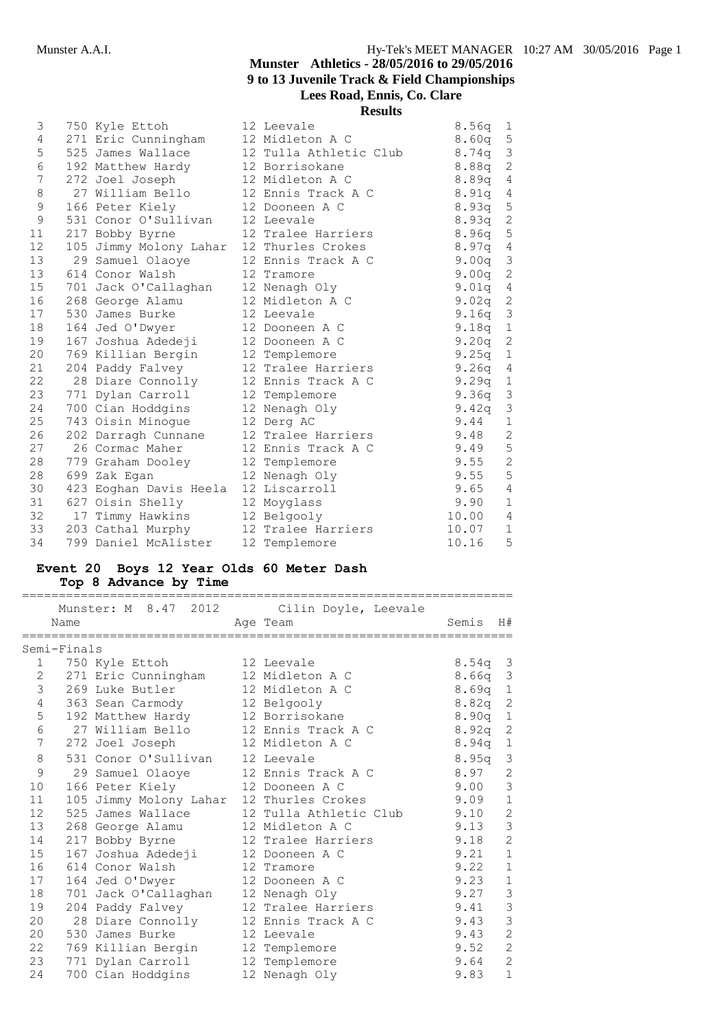| 3                 | 750 Kyle Ettoh                           | 12 Leevale             | 8.56q     | $\mathbf{1}$                |
|-------------------|------------------------------------------|------------------------|-----------|-----------------------------|
| 4                 | 271 Eric Cunningham 12 Midleton A C      |                        | 8.60q     | 5                           |
| 5                 | 525 James Wallace                        | 12 Tulla Athletic Club | 8.74a     | $\mathfrak{Z}$              |
| 6                 | 192 Matthew Hardy                        | 12 Borrisokane         | 8.88q     | $\sqrt{2}$                  |
| 7                 | 272 Joel Joseph                          | 12 Midleton A C        | 8.89q     | $\sqrt{4}$                  |
| 8                 | 27 William Bello                         | 12 Ennis Track A C     | 8.91q 4   |                             |
| 9                 | 166 Peter Kiely                          | 12 Dooneen A C         | 8.93q     | $\mathsf S$                 |
| 9                 | 531 Conor O'Sullivan                     | 12 Leevale             | 8.93q     | $\sqrt{2}$                  |
| 11                | 217 Bobby Byrne                          | 12 Tralee Harriers     | 8.96q     | $\mathsf S$                 |
| $12 \overline{ }$ | 105 Jimmy Molony Lahar 12 Thurles Crokes |                        | 8.97q 4   |                             |
| 13                | 29 Samuel Olaoye                         | 12 Ennis Track A C     | 9.00q     | $\mathcal{S}_{\mathcal{S}}$ |
|                   | 13 614 Conor Walsh                       | 12 Tramore             | 9.00q     | $\mathbf{2}$                |
| 15                | 701 Jack O'Callaghan                     | 12 Nenagh Oly          | 9.01q 4   |                             |
| 16                | 268 George Alamu                         | 12 Midleton A C        | 9.02q     | $\sqrt{2}$                  |
| 17                | 530 James Burke                          | 12 Leevale             | 9.16q     | $\mathcal{S}$               |
| 18                | 164 Jed O'Dwyer                          | 12 Dooneen A C         | 9.18q 1   |                             |
| 19                | 167 Joshua Adedeji                       | 12 Dooneen A C         | 9.20q     | $\mathbf{2}$                |
| 20                | 769 Killian Bergin                       | 12 Templemore          | 9.25q     | $\mathbf{1}$                |
| 21                | 204 Paddy Falvey                         | 12 Tralee Harriers     | $9.26q$ 4 |                             |
| 22                | 28 Diare Connolly                        | 12 Ennis Track A C     | 9.29q     | $\mathbf{1}$                |
| 23                | 771 Dylan Carroll                        | 12 Templemore          | 9.36q     | $\mathfrak{Z}$              |
| 24                | 700 Cian Hoddgins                        | 12 Nenagh Oly          | 9.42q     | $\mathfrak{Z}$              |
| 25                | 743 Oisin Minogue                        | 12 Derg AC             | 9.44      | $\mathbf{1}$                |
| 26                | 202 Darragh Cunnane                      | 12 Tralee Harriers     | 9.48      | $\mathbf{2}$                |
| 27                | 26 Cormac Maher                          | 12 Ennis Track A C     | 9.49 5    |                             |
| 28                | 779 Graham Dooley                        | 12 Templemore          | 9.55      | $\overline{c}$              |
| 28                | 699 Zak Egan                             | 12 Nenagh Oly          | 9.55      | 5                           |
| 30                | 423 Eoghan Davis Heela                   | 12 Liscarroll          | 9.65      | $\overline{4}$              |
| 31                | 627 Oisin Shelly                         | 12 Moyglass            | 9.90      | $1\,$                       |
| 32                | 17 Timmy Hawkins 12 Belgooly             |                        | 10.00     | $\sqrt{4}$                  |
|                   | 33 203 Cathal Murphy                     | 12 Tralee Harriers     | 10.07     | $\mathbf 1$                 |
| 34                | 799 Daniel McAlister                     | 12 Templemore          | 10.16     | 5                           |

### **Event 20 Boys 12 Year Olds 60 Meter Dash Top 8 Advance by Time**

|                | Name        |                                          | Munster: M 8.47 2012 Cilin Doyle, Leevale<br>Age Team | Semis             | H#             |
|----------------|-------------|------------------------------------------|-------------------------------------------------------|-------------------|----------------|
|                | Semi-Finals |                                          |                                                       |                   |                |
|                | $1 \quad$   | 750 Kyle Ettoh                           | 12 Leevale                                            | $8.54q$ 3         |                |
| 2              |             | 271 Eric Cunningham                      | 12 Midleton A C                                       | 8.66 <sub>q</sub> | 3              |
| 3              |             | 269 Luke Butler                          | 12 Midleton A C                                       | 8.69q             | $\mathbf 1$    |
| 4              |             | 363 Sean Carmody                         | 12 Belgooly                                           | 8.82q             | $\overline{c}$ |
| 5              |             | 192 Matthew Hardy                        | 12 Borrisokane                                        | 8.90a             | $1\,$          |
| 6              |             | 27 William Bello                         | 12 Ennis Track A C                                    | 8.92q             | $\overline{c}$ |
| $\overline{7}$ |             | 272 Joel Joseph                          | 12 Midleton A C                                       | 8.94q             | $\mathbf 1$    |
| 8              |             | 531 Conor O'Sullivan                     | 12 Leevale                                            | 8.95q             | 3              |
| 9              |             | 29 Samuel Olaove                         | 12 Ennis Track A C                                    | 8.97              | $\mathbf{2}$   |
| 10             |             | 166 Peter Kiely                          | 12 Dooneen A C                                        | 9.00              | $\mathcal{S}$  |
| 11             |             | 105 Jimmy Molony Lahar 12 Thurles Crokes |                                                       | 9.09              | $\,1\,$        |
| 12             |             | 525 James Wallace                        | 12 Tulla Athletic Club                                | 9.10              | $\overline{c}$ |
| 13             |             | 268 George Alamu                         | 12 Midleton A C                                       | 9.13              | $\mathcal{S}$  |
| 14             |             | 217 Bobby Byrne                          | 12 Tralee Harriers                                    | 9.18              | $\overline{c}$ |
| 15             |             | 167 Joshua Adedeji                       | 12 Dooneen A C                                        | 9.21              | $\mathbf 1$    |
| 16             |             | 614 Conor Walsh                          | 12 Tramore                                            | 9.22              | $\mathbf 1$    |
| 17             |             | 164 Jed O'Dwyer                          | 12 Dooneen A C                                        | 9.23              | $\mathbf 1$    |
| 18             |             | 701 Jack O'Callaghan                     | 12 Nenagh Oly                                         | 9.27              | 3              |
| 19             |             | 204 Paddy Falvey                         | 12 Tralee Harriers                                    | 9.41              | 3              |
| 20             |             | 28 Diare Connolly                        | 12 Ennis Track A C                                    | 9.43              | $\mathcal{S}$  |
| 20             |             | 530 James Burke                          | 12 Leevale                                            | 9.43              | $\overline{c}$ |
| 22             |             | 769 Killian Bergin                       | 12 Templemore                                         | 9.52              | $\overline{c}$ |
| 23             |             | 771 Dylan Carroll                        | 12 Templemore                                         | 9.64              | $\overline{c}$ |
| 24             |             | 700 Cian Hoddgins                        | 12 Nenagh Oly                                         | 9.83              | $1\,$          |
|                |             |                                          |                                                       |                   |                |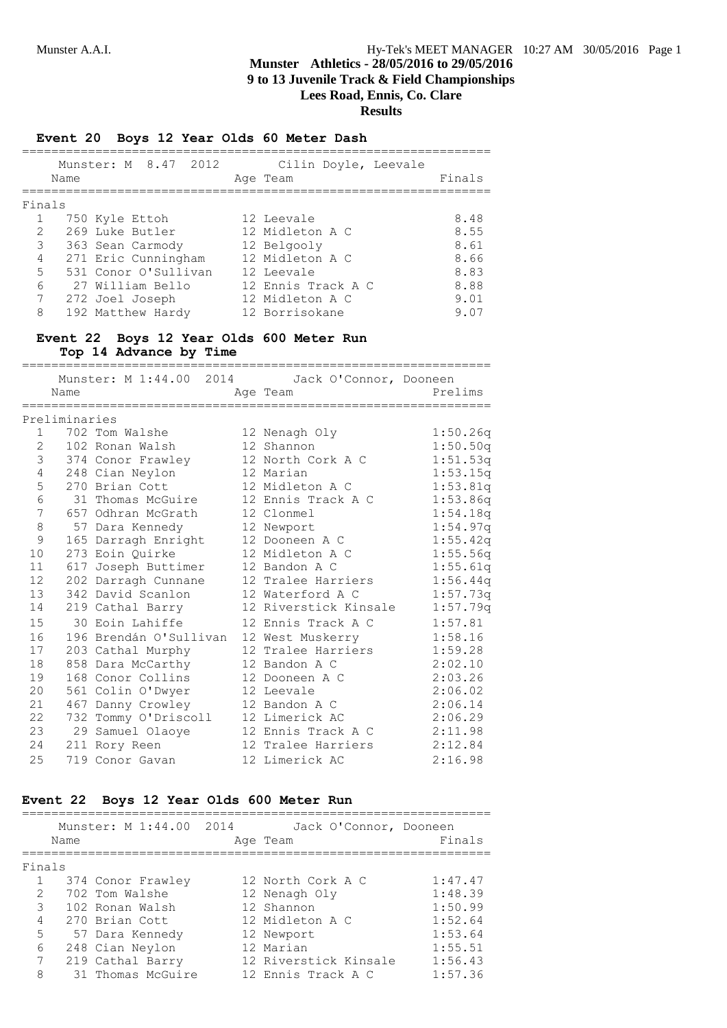### **Event 20 Boys 12 Year Olds 60 Meter Dash**

|        | Name | Munster: M 8.47 2012 | Cilin Doyle, Leevale<br>Age Team | Finals |
|--------|------|----------------------|----------------------------------|--------|
| Finals |      |                      |                                  |        |
|        |      | 750 Kyle Ettoh       | 12 Leevale                       | 8.48   |
| 2      |      | 269 Luke Butler      | 12 Midleton A C                  | 8.55   |
| 3      |      | 363 Sean Carmody     | 12 Belgooly                      | 8.61   |
| 4      |      | 271 Eric Cunningham  | 12 Midleton A C                  | 8.66   |
| 5      |      | 531 Conor O'Sullivan | 12 Leevale                       | 8.83   |
| 6      |      | 27 William Bello     | 12 Ennis Track A C               | 8.88   |
| 7      |      | 272 Joel Joseph      | 12 Midleton A C                  | 9.01   |
| 8      |      | 192 Matthew Hardy    | 12 Borrisokane                   | 9.07   |

# **Event 22 Boys 12 Year Olds 600 Meter Run**

**Top 14 Advance by Time**

|              |               |                        | Munster: M 1:44.00 2014 Jack O'Connor, Dooneen |          |
|--------------|---------------|------------------------|------------------------------------------------|----------|
|              | Name          |                        | Age Team                                       | Prelims  |
|              |               |                        |                                                |          |
|              | Preliminaries |                        |                                                |          |
| $\mathbf{1}$ |               | 702 Tom Walshe         | 12 Nenagh Oly                                  | 1:50.26q |
| 2            |               | 102 Ronan Walsh        | 12 Shannon                                     | 1:50.50q |
| 3            |               | 374 Conor Frawley      | 12 North Cork A C                              | 1:51.53q |
| 4            |               | 248 Cian Neylon        | 12 Marian                                      | 1:53.15q |
| 5            |               | 270 Brian Cott         | 12 Midleton A C                                | 1:53.81q |
| 6            |               | 31 Thomas McGuire      | 12 Ennis Track A C                             | 1:53.86q |
| 7            |               | 657 Odhran McGrath     | 12 Clonmel                                     | 1:54.18q |
| 8            |               | 57 Dara Kennedy        | 12 Newport                                     | 1:54.97q |
| 9            |               | 165 Darragh Enright    | 12 Dooneen A C                                 | 1:55.42q |
| 10           |               | 273 Eoin Ouirke        | 12 Midleton A C                                | 1:55.56q |
| 11           |               | 617 Joseph Buttimer    | 12 Bandon A C                                  | 1:55.61q |
| 12           |               | 202 Darragh Cunnane    | 12 Tralee Harriers                             | 1:56.44q |
| 13           |               | 342 David Scanlon      | 12 Waterford A C                               | 1:57.73q |
| 14           |               | 219 Cathal Barry       | 12 Riverstick Kinsale                          | 1:57.79q |
| 15           |               | 30 Eoin Lahiffe        | 12 Ennis Track A C                             | 1:57.81  |
| 16           |               | 196 Brendán O'Sullivan | 12 West Muskerry                               | 1:58.16  |
| 17           |               | 203 Cathal Murphy      | 12 Tralee Harriers                             | 1:59.28  |
| 18           |               | 858 Dara McCarthy      | 12 Bandon A C                                  | 2:02.10  |
| 19           |               | 168 Conor Collins      | 12 Dooneen A C                                 | 2:03.26  |
| 20           |               | 561 Colin O'Dwyer      | 12 Leevale                                     | 2:06.02  |
| 21           |               | 467 Danny Crowley      | 12 Bandon A C                                  | 2:06.14  |
| 22           |               | 732 Tommy O'Driscoll   | 12 Limerick AC                                 | 2:06.29  |
| 23           |               | 29 Samuel Olaoye       | 12 Ennis Track A C                             | 2:11.98  |
| 24           |               | 211 Rory Reen          | 12 Tralee Harriers                             | 2:12.84  |
| 25           |               | 719 Conor Gavan        | 12 Limerick AC                                 | 2:16.98  |

### **Event 22 Boys 12 Year Olds 600 Meter Run**

|                | Name | Munster: M 1:44.00 2014 | Jack O'Connor, Dooneen<br>Age Team | Finals  |
|----------------|------|-------------------------|------------------------------------|---------|
| Finals         |      |                         |                                    |         |
|                |      | 374 Conor Frawley       | 12 North Cork A C                  | 1:47.47 |
| $\mathcal{P}$  |      | 702 Tom Walshe          | 12 Nenagh Oly                      | 1:48.39 |
| 3              |      | 102 Ronan Walsh         | 12 Shannon                         | 1:50.99 |
| $\overline{4}$ |      | 270 Brian Cott          | 12 Midleton A C                    | 1:52.64 |
| 5              |      | 57 Dara Kennedy         | 12 Newport                         | 1:53.64 |
| 6              |      | 248 Cian Neylon         | 12 Marian                          | 1:55.51 |
| 7              |      | 219 Cathal Barry        | 12 Riverstick Kinsale              | 1:56.43 |
| 8              |      | 31 Thomas McGuire       | 12 Ennis Track A C                 | 1:57.36 |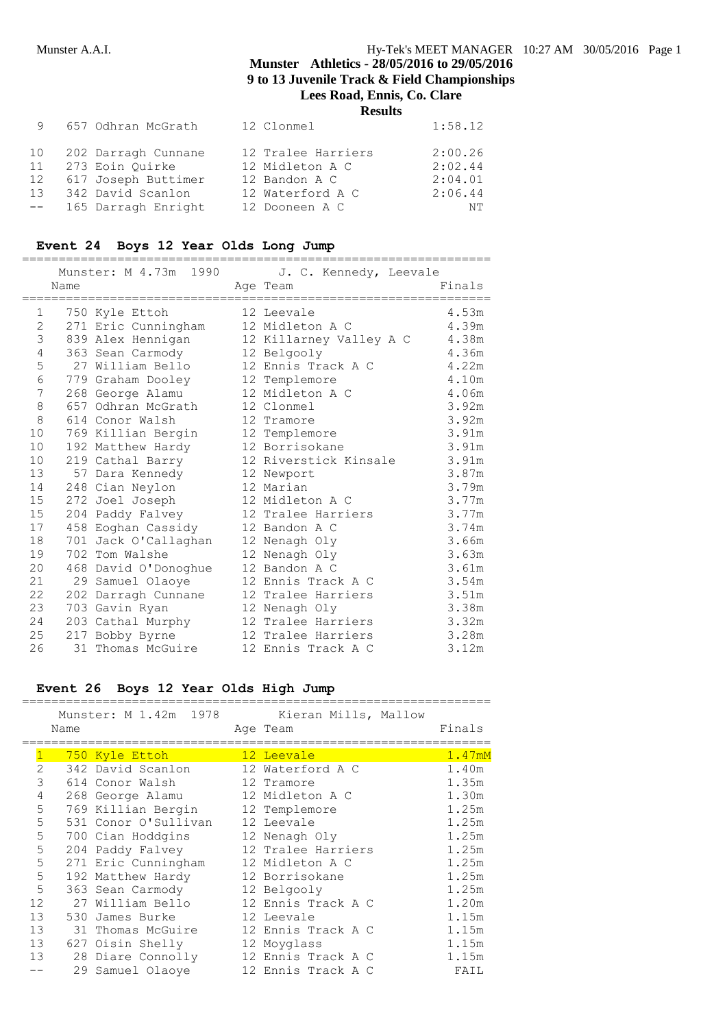| 9               | 657 Odhran McGrath  | 12 Clonmel         | 1:58.12 |
|-----------------|---------------------|--------------------|---------|
| 10              | 202 Darragh Cunnane | 12 Tralee Harriers | 2:00.26 |
| 11              | 273 Eoin Quirke     | 12 Midleton A C    | 2:02.44 |
| 12              | 617 Joseph Buttimer | 12 Bandon A C      | 2:04.01 |
| 13 <sup>7</sup> | 342 David Scanlon   | 12 Waterford A C   | 2:06.44 |
| $--$            | 165 Darragh Enright | 12 Dooneen A C     | NΤ      |

# **Event 24 Boys 12 Year Olds Long Jump**

|              |      | Munster: M 4.73m 1990               | J. C. Kennedy, Leevale  |        |
|--------------|------|-------------------------------------|-------------------------|--------|
|              | Name | ;================================== | Age Team                | Finals |
| $\mathbf{1}$ |      | 750 Kyle Ettoh                      | 12 Leevale              | 4.53m  |
| 2            |      | 271 Eric Cunningham                 | 12 Midleton A C         | 4.39m  |
| 3            |      | 839 Alex Hennigan                   | 12 Killarney Valley A C | 4.38m  |
| 4            |      | 363 Sean Carmody                    | 12 Belgooly             | 4.36m  |
| 5            |      | 27 William Bello                    | 12 Ennis Track A C      | 4.22m  |
| 6            |      | 779 Graham Dooley                   | 12 Templemore           | 4.10m  |
| 7            |      | 268 George Alamu                    | 12 Midleton A C         | 4.06m  |
| $\,8\,$      |      | 657 Odhran McGrath                  | 12 Clonmel              | 3.92m  |
| 8            |      | 614 Conor Walsh                     | 12 Tramore              | 3.92m  |
| 10           |      | 769 Killian Bergin                  | 12 Templemore           | 3.91m  |
| 10           |      | 192 Matthew Hardy                   | 12 Borrisokane          | 3.91m  |
| 10           |      | 219 Cathal Barry                    | 12 Riverstick Kinsale   | 3.91m  |
| 13           |      | 57 Dara Kennedy                     | 12 Newport              | 3.87m  |
| 14           |      | 248 Cian Neylon                     | 12 Marian               | 3.79m  |
| 15           |      | 272 Joel Joseph                     | 12 Midleton A C         | 3.77m  |
| 15           |      | 204 Paddy Falvey                    | 12 Tralee Harriers      | 3.77m  |
| 17           |      | 458 Eoghan Cassidy                  | 12 Bandon A C           | 3.74m  |
| 18           | 701  | Jack O'Callaghan                    | 12 Nenagh Oly           | 3.66m  |
| 19           |      | 702 Tom Walshe                      | 12 Nenagh Oly           | 3.63m  |
| 20           |      | 468 David O'Donoghue                | 12 Bandon A C           | 3.61m  |
| 21           |      | 29 Samuel Olaoye                    | 12 Ennis Track A C      | 3.54m  |
| 22           |      | 202 Darragh Cunnane                 | 12 Tralee Harriers      | 3.51m  |
| 23           |      | 703 Gavin Ryan                      | 12 Nenagh Oly           | 3.38m  |
| 24           |      | 203 Cathal Murphy                   | 12 Tralee Harriers      | 3.32m  |
| 25           |      | 217 Bobby Byrne                     | 12 Tralee Harriers      | 3.28m  |
| 26           |      | 31 Thomas McGuire                   | 12 Ennis Track A C      | 3.12m  |

# **Event 26 Boys 12 Year Olds High Jump**

|                 |      |                      | Munster: M 1.42m 1978 Kieran Mills, Mallow |        |
|-----------------|------|----------------------|--------------------------------------------|--------|
|                 | Name |                      | Age Team                                   | Finals |
|                 |      |                      |                                            |        |
| $\mathbf{1}$    |      | 750 Kyle Ettoh       | 12 Leevale                                 | 1.47mM |
| $\mathcal{L}$   |      | 342 David Scanlon    | 12 Waterford A C                           | 1.40m  |
| 3               |      | 614 Conor Walsh      | 12 Tramore                                 | 1.35m  |
| 4               |      | 268 George Alamu     | 12 Midleton A C                            | 1.30m  |
| 5               |      | 769 Killian Bergin   | 12 Templemore                              | 1.25m  |
| 5               |      | 531 Conor O'Sullivan | 12 Leevale                                 | 1.25m  |
| 5               |      | 700 Cian Hoddgins    | 12 Nenagh Oly                              | 1.25m  |
| 5               |      | 204 Paddy Falvey     | 12 Tralee Harriers                         | 1.25m  |
| 5               |      | 271 Eric Cunningham  | 12 Midleton A C                            | 1.25m  |
| 5               |      | 192 Matthew Hardy    | 12 Borrisokane                             | 1.25m  |
| 5               |      | 363 Sean Carmody     | 12 Belgooly                                | 1.25m  |
| 12              | 27   | William Bello        | 12 Ennis Track A C                         | 1.20m  |
| 13 <sup>7</sup> | 530  | James Burke          | 12 Leevale                                 | 1.15m  |
| 13              |      | 31 Thomas McGuire    | 12 Ennis Track A C                         | 1.15m  |
| 13              |      | 627 Oisin Shelly     | 12 Moyglass                                | 1.15m  |
| 13              |      | 28 Diare Connolly    | 12 Ennis Track A C                         | 1.15m  |
|                 |      | 29 Samuel Olaove     | 12 Ennis Track A C                         | FAIL   |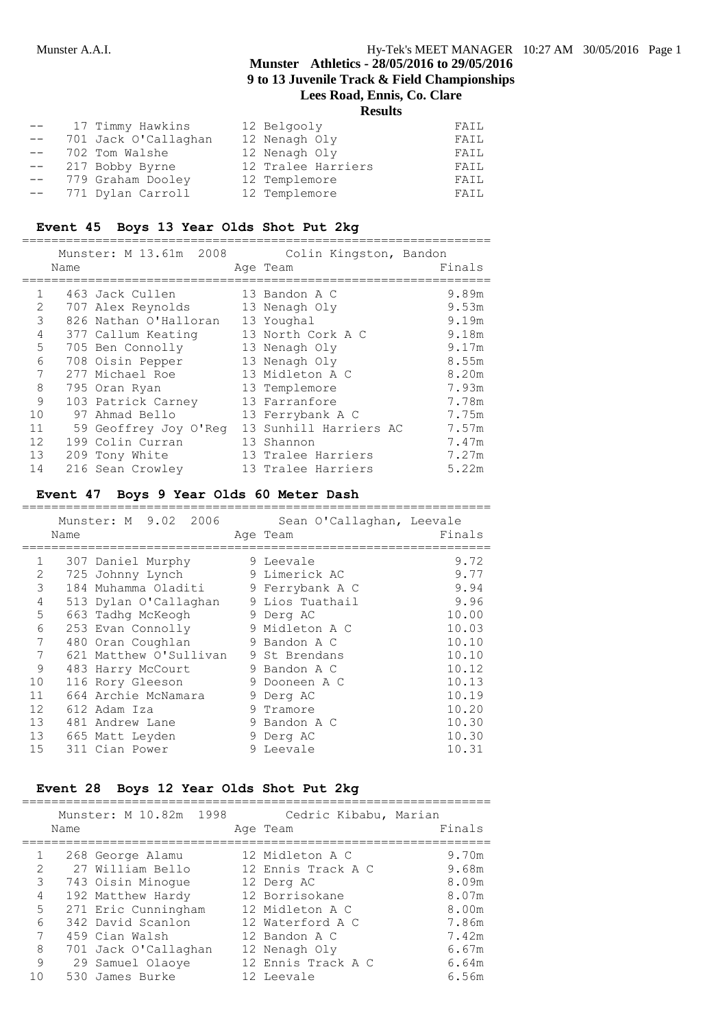#### **Results**

| $--$   | 17 Timmy Hawkins     | 12 Belgooly        | FAIL |
|--------|----------------------|--------------------|------|
| $- -$  | 701 Jack O'Callaghan | 12 Nenagh Oly      | FAIL |
| $--$   | 702 Tom Walshe       | 12 Nenagh Oly      | FAIL |
| $--$   | 217 Bobby Byrne      | 12 Tralee Harriers | FAIL |
| $- \,$ | 779 Graham Dooley    | 12 Templemore      | FAIL |
| $- \,$ | 771 Dylan Carroll    | 12 Templemore      | FAIL |

### **Event 45 Boys 13 Year Olds Shot Put 2kg**

|              | Name | Munster: M 13.61m 2008 | Colin Kingston, Bandon<br>Age Team | Finals |
|--------------|------|------------------------|------------------------------------|--------|
| $\mathbf{1}$ |      | 463 Jack Cullen        | 13 Bandon A C                      | 9.89m  |
| 2            |      | 707 Alex Reynolds      | 13 Nenagh Oly                      | 9.53m  |
| 3            |      | 826 Nathan O'Halloran  | 13 Youghal                         | 9.19m  |
| 4            |      | 377 Callum Keating     | 13 North Cork A C                  | 9.18m  |
| 5            |      | 705 Ben Connolly       | 13 Nenagh Oly                      | 9.17m  |
| 6            |      | 708 Oisin Pepper       | 13 Nenagh Oly                      | 8.55m  |
|              |      | 277 Michael Roe        | 13 Midleton A C                    | 8.20m  |
| 8            |      | 795 Oran Ryan          | 13 Templemore                      | 7.93m  |
| 9            |      | 103 Patrick Carney     | 13 Farranfore                      | 7.78m  |
| 10           |      | 97 Ahmad Bello         | 13 Ferrybank A C                   | 7.75m  |
| 11           |      | 59 Geoffrey Joy O'Req  | 13 Sunhill Harriers AC             | 7.57m  |
| 12           |      | 199 Colin Curran       | 13 Shannon                         | 7.47m  |
| 13           |      | 209 Tony White         | 13 Tralee Harriers                 | 7.27m  |
| 14           |      | 216 Sean Crowley       | 13 Tralee Harriers                 | 5.22m  |

### **Event 47 Boys 9 Year Olds 60 Meter Dash**

|                   | Name | Munster: M 9.02 2006   |   | Sean O'Callaghan, Leevale<br>Age Team | Finals |
|-------------------|------|------------------------|---|---------------------------------------|--------|
| $\mathbf{1}$      |      | 307 Daniel Murphy      |   | 9 Leevale                             | 9.72   |
| $\overline{2}$    |      | 725 Johnny Lynch       |   | 9 Limerick AC                         | 9.77   |
| 3                 |      | 184 Muhamma Oladiti    |   | 9 Ferrybank A C                       | 9.94   |
| 4                 |      | 513 Dylan O'Callaghan  |   | 9 Lios Tuathail                       | 9.96   |
| 5                 |      | 663 Tadhq McKeogh      |   | 9 Derg AC                             | 10.00  |
| 6                 |      | 253 Evan Connolly      |   | 9 Midleton A C                        | 10.03  |
| 7                 |      | 480 Oran Coughlan      |   | 9 Bandon A C                          | 10.10  |
| 7                 |      | 621 Matthew O'Sullivan |   | 9 St Brendans                         | 10.10  |
| 9                 |      | 483 Harry McCourt      |   | 9 Bandon A C                          | 10.12  |
| 10                |      | 116 Rory Gleeson       |   | 9 Dooneen A C                         | 10.13  |
| 11                |      | 664 Archie McNamara    |   | 9 Derg AC                             | 10.19  |
| $12 \overline{ }$ |      | 612 Adam Iza           | 9 | Tramore                               | 10.20  |
| 13                |      | 481 Andrew Lane        |   | 9 Bandon A C                          | 10.30  |
| 13                |      | 665 Matt Leyden        |   | 9 Derg AC                             | 10.30  |
| 15                |      | 311 Cian Power         |   | 9 Leevale                             | 10.31  |

### **Event 28 Boys 12 Year Olds Shot Put 2kg**

|                | Name | Munster: M 10.82m 1998 | Cedric Kibabu, Marian<br>Age Team | Finals |
|----------------|------|------------------------|-----------------------------------|--------|
| $\mathbf{1}$   |      | 268 George Alamu       | 12 Midleton A C                   | 9.70m  |
| $\mathfrak{D}$ |      | 27 William Bello       | 12 Ennis Track A C                | 9.68m  |
| 3              |      | 743 Oisin Minoque      | 12 Derg AC                        | 8.09m  |
| 4              |      | 192 Matthew Hardy      | 12 Borrisokane                    | 8.07m  |
| 5              |      | 271 Eric Cunningham    | 12 Midleton A C                   | 8.00m  |
| 6              |      | 342 David Scanlon      | 12 Waterford A C                  | 7.86m  |
| 7              |      | 459 Cian Walsh         | 12 Bandon A C                     | 7.42m  |
| 8              |      | 701 Jack O'Callaghan   | 12 Nenagh Oly                     | 6.67m  |
| 9              |      | 29 Samuel Olaoye       | 12 Ennis Track A C                | 6.64m  |
| 10             |      | 530 James Burke        | 12 Leevale                        | 6.56m  |

================================================================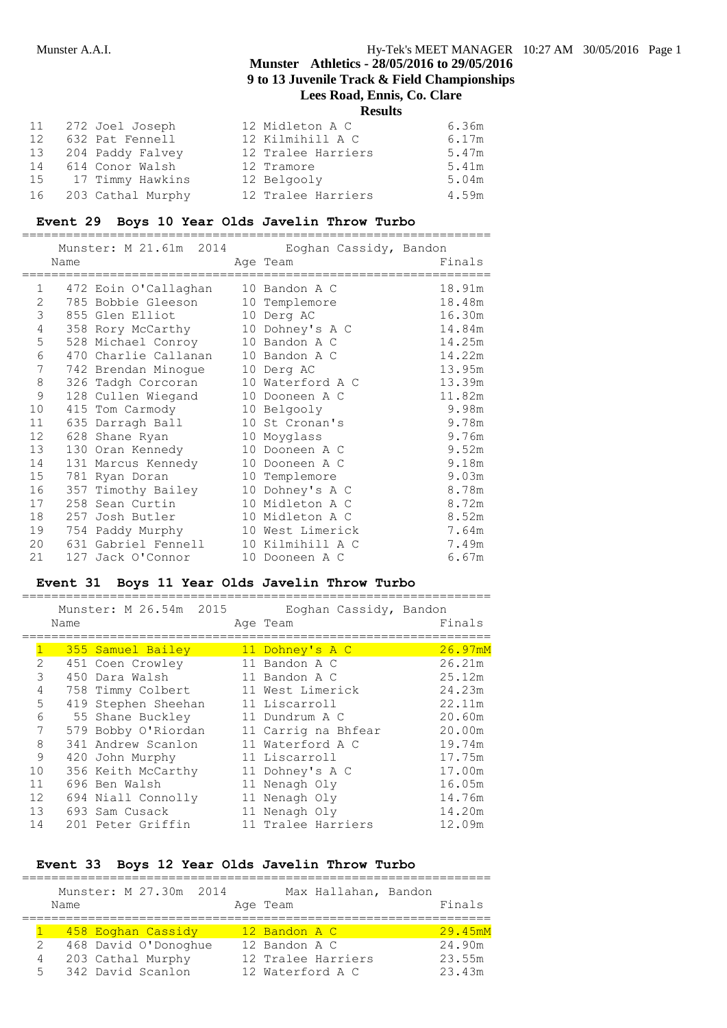# **Munster Athletics - 28/05/2016 to 29/05/2016 9 to 13 Juvenile Track & Field Championships**

**Lees Road, Ennis, Co. Clare**

**Results**

| 11 | 272 Joel Joseph   | 12 Midleton A C    | 6.36m |
|----|-------------------|--------------------|-------|
| 12 | 632 Pat Fennell   | 12 Kilmihill A C   | 6.17m |
| 13 | 204 Paddy Falvey  | 12 Tralee Harriers | 5.47m |
| 14 | 614 Conor Walsh   | 12 Tramore         | 5.41m |
| 15 | 17 Timmy Hawkins  | 12 Belgooly        | 5.04m |
| 16 | 203 Cathal Murphy | 12 Tralee Harriers | 4.59m |

#### **Event 29 Boys 10 Year Olds Javelin Throw Turbo**

|                 | Name |                                    | Munster: M 21.61m 2014 Eoghan Cassidy, Bandon<br>Age Team | Finals |
|-----------------|------|------------------------------------|-----------------------------------------------------------|--------|
|                 |      |                                    |                                                           |        |
| $\mathbf{1}$    |      | 472 Eoin O'Callaghan 10 Bandon A C |                                                           | 18.91m |
| 2               |      | 785 Bobbie Gleeson 10 Templemore   |                                                           | 18.48m |
| 3               |      | 855 Glen Elliot 10 Derg AC         |                                                           | 16.30m |
| 4               |      | 358 Rory McCarthy 10 Dohney's A C  |                                                           | 14.84m |
| 5               |      | 528 Michael Conroy 10 Bandon A C   |                                                           | 14.25m |
| 6               |      | 470 Charlie Callanan 10 Bandon A C |                                                           | 14.22m |
| 7               |      | 742 Brendan Minogue                | 10 Derg AC                                                | 13.95m |
| 8               |      | 326 Tadgh Corcoran                 | 10 Waterford A C                                          | 13.39m |
| 9               |      | 128 Cullen Wiegand                 | 10 Dooneen A C                                            | 11.82m |
| 10              |      | 415 Tom Carmody                    | 10 Belgooly                                               | 9.98m  |
| 11              |      | 635 Darragh Ball                   | 10 St Cronan's                                            | 9.78m  |
| 12 <sup>°</sup> |      | 628 Shane Ryan                     | 10 Moyglass                                               | 9.76m  |
| 13              |      | 130 Oran Kennedy                   | 10 Dooneen A C                                            | 9.52m  |
| 14              |      | 131 Marcus Kennedy                 | 10 Dooneen A C                                            | 9.18m  |
| 15              |      | 781 Ryan Doran                     | 10 Templemore                                             | 9.03m  |
| 16              |      | 357 Timothy Bailey                 | 10 Dohney's A C                                           | 8.78m  |
| 17              |      | 258 Sean Curtin                    | 10 Midleton A C                                           | 8.72m  |
| 18              |      | 257 Josh Butler                    | 10 Midleton A C                                           | 8.52m  |
| 19              |      | 754 Paddy Murphy                   | 10 West Limerick                                          | 7.64m  |
| 20              |      | 631 Gabriel Fennell                | 10 Kilmihill A C                                          | 7.49m  |
| 21              |      | 127 Jack O'Connor                  | 10 Dooneen A C                                            | 6.67m  |

#### **Event 31 Boys 11 Year Olds Javelin Throw Turbo**

|    | Name | Munster: M 26.54m 2015 | Eoghan Cassidy, Bandon<br>Age Team | Finals  |
|----|------|------------------------|------------------------------------|---------|
|    |      | 355 Samuel Bailey      | 11 Dohney's A C                    | 26.97mM |
|    | 2    | 451 Coen Crowley       | 11 Bandon A C                      | 26.21m  |
|    | 3    | 450 Dara Walsh         | 11 Bandon A C                      | 25.12m  |
|    | 4    | 758 Timmy Colbert      | 11 West Limerick                   | 24.23m  |
|    | 5    | 419 Stephen Sheehan    | 11 Liscarroll                      | 22.11m  |
|    | 6    | 55 Shane Buckley       | 11 Dundrum A C                     | 20.60m  |
|    | 7    | 579 Bobby O'Riordan    | 11 Carrig na Bhfear                | 20.00m  |
|    | 8    | 341 Andrew Scanlon     | 11 Waterford A C                   | 19.74m  |
|    | 9    | 420 John Murphy        | 11 Liscarroll                      | 17.75m  |
| 10 |      | 356 Keith McCarthy     | 11 Dohney's A C                    | 17.00m  |
| 11 |      | 696 Ben Walsh          | 11 Nenagh Oly                      | 16.05m  |
| 12 |      | 694 Niall Connolly     | 11 Nenagh Oly                      | 14.76m  |
| 13 |      | 693 Sam Cusack         | 11 Nenagh Oly                      | 14.20m  |
| 14 |      | 201 Peter Griffin      | 11 Tralee Harriers                 | 12.09m  |
|    |      |                        |                                    |         |

### **Event 33 Boys 12 Year Olds Javelin Throw Turbo**

|    | Name | Munster: M 27.30m 2014 | Max Hallahan, Bandon<br>Age Team | Finals  |
|----|------|------------------------|----------------------------------|---------|
|    |      | 458 Eoghan Cassidy     | 12 Bandon A C                    | 29.45mM |
| 2  |      | 468 David O'Donoghue   | 12 Bandon A C                    | 24.90m  |
| 4  |      | 203 Cathal Murphy      | 12 Tralee Harriers               | 23.55m  |
| 5. |      | 342 David Scanlon      | 12 Waterford A C                 | 23.43m  |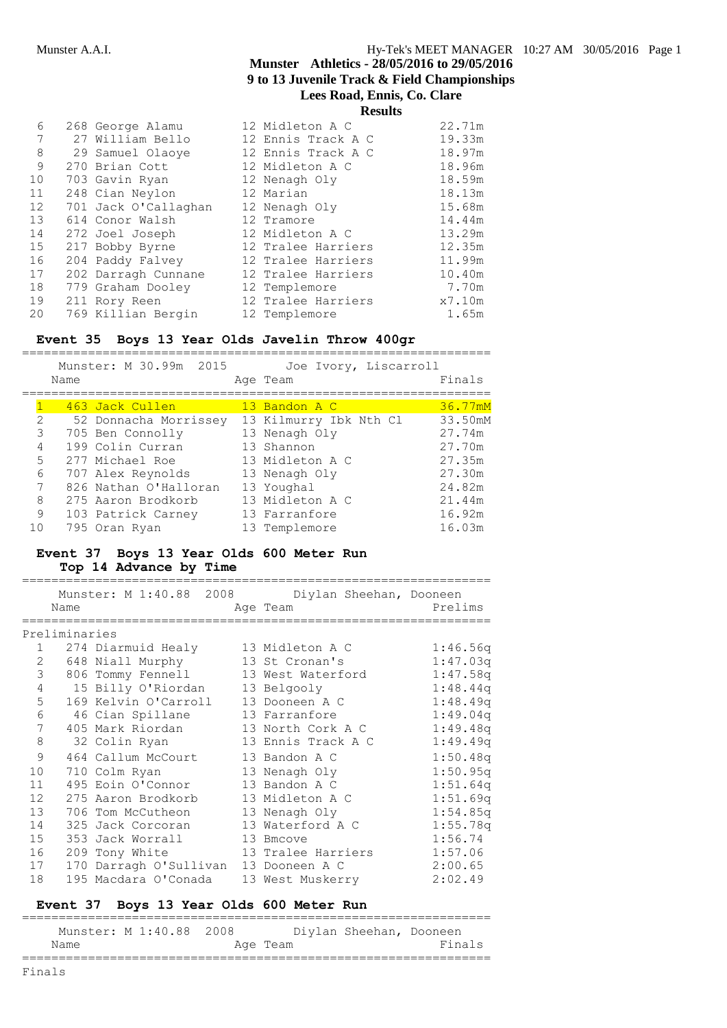| 6  | 268 George Alamu     | 12 Midleton A C    | 22.71m |
|----|----------------------|--------------------|--------|
| 7  | 27 William Bello     | 12 Ennis Track A C | 19.33m |
| 8  | 29 Samuel Olaoye     | 12 Ennis Track A C | 18.97m |
| 9  | 270 Brian Cott       | 12 Midleton A C    | 18.96m |
| 10 | 703 Gavin Ryan       | 12 Nenagh Oly      | 18.59m |
| 11 | 248 Cian Neylon      | 12 Marian          | 18.13m |
| 12 | 701 Jack O'Callaghan | 12 Nenagh Oly      | 15.68m |
| 13 | 614 Conor Walsh      | 12 Tramore         | 14.44m |
| 14 | 272 Joel Joseph      | 12 Midleton A C    | 13.29m |
| 15 | 217 Bobby Byrne      | 12 Tralee Harriers | 12.35m |
| 16 | 204 Paddy Falvey     | 12 Tralee Harriers | 11.99m |
| 17 | 202 Darragh Cunnane  | 12 Tralee Harriers | 10.40m |
| 18 | 779 Graham Dooley    | 12 Templemore      | 7.70m  |
| 19 | 211 Rory Reen        | 12 Tralee Harriers | x7.10m |
| 20 | 769 Killian Bergin   | 12 Templemore      | 1.65m  |

### **Event 35 Boys 13 Year Olds Javelin Throw 400gr**

================================================================ Munster: M 30.99m 2015 Joe Ivory, Liscarroll

|                 | Name |                       | Age Team               | Finals  |
|-----------------|------|-----------------------|------------------------|---------|
|                 |      | 463 Jack Cullen       | 13 Bandon A C          | 36.77mM |
| 2               |      | 52 Donnacha Morrissey | 13 Kilmurry Ibk Nth Cl | 33.50mM |
| 3               |      | 705 Ben Connolly      | 13 Nenagh Oly          | 27.74m  |
| 4               |      | 199 Colin Curran      | 13 Shannon             | 27.70m  |
| 5               |      | 277 Michael Roe       | 13 Midleton A C        | 27.35m  |
| 6               |      | 707 Alex Reynolds     | 13 Nenagh Oly          | 27.30m  |
| $7\phantom{.0}$ |      | 826 Nathan O'Halloran | 13 Youghal             | 24.82m  |
| 8               |      | 275 Aaron Brodkorb    | 13 Midleton A C        | 21.44m  |
| 9               |      | 103 Patrick Carney    | 13 Farranfore          | 16.92m  |
| 10              |      | 795 Oran Ryan         | 13 Templemore          | 16.03m  |

#### **Event 37 Boys 13 Year Olds 600 Meter Run Top 14 Advance by Time**

|                 | Name           |                                       | Munster: M 1:40.88 2008 Diylan Sheehan, Dooneen<br>Age Team | Prelims  |
|-----------------|----------------|---------------------------------------|-------------------------------------------------------------|----------|
|                 |                |                                       |                                                             |          |
|                 | Preliminaries  |                                       |                                                             |          |
|                 | $1 \quad \Box$ | 274 Diarmuid Healy 13 Midleton A C    |                                                             | 1:46.56q |
| 2               |                | 648 Niall Murphy 13 St Cronan's       |                                                             | 1:47.03q |
| 3               |                | 806 Tommy Fennell                     | 13 West Waterford                                           | 1:47.58q |
| $\overline{4}$  |                | 15 Billy O'Riordan                    | 13 Belgooly                                                 | 1:48.44q |
| 5               |                | 169 Kelvin O'Carroll                  | 13 Dooneen A C                                              | 1:48.49q |
| 6               |                | 46 Cian Spillane                      | 13 Farranfore                                               | 1:49.04q |
| $7\overline{ }$ |                | 405 Mark Riordan                      | 13 North Cork A C                                           | 1:49.48q |
| 8               |                | 32 Colin Ryan                         | 13 Ennis Track A C                                          | 1:49.49q |
| 9               |                | 464 Callum McCourt                    | 13 Bandon A C                                               | 1:50.48q |
| 10              |                | 710 Colm Ryan                         | 13 Nenagh Oly                                               | 1:50.95q |
| 11              |                | 495 Eoin O'Connor                     | 13 Bandon A C                                               | 1:51.64q |
| 12 <sup>2</sup> |                | 275 Aaron Brodkorb                    | 13 Midleton A C                                             | 1:51.69q |
| 13              |                | 706 Tom McCutheon                     | 13 Nenagh Oly                                               | 1:54.85q |
| 14              |                | 325 Jack Corcoran                     | 13 Waterford A C                                            | 1:55.78q |
| 15              |                | 353 Jack Worrall                      | 13 Bmcove                                                   | 1:56.74  |
| 16              |                | 209 Tony White                        | 13 Tralee Harriers                                          | 1:57.06  |
| 17              |                | 170 Darragh O'Sullivan 13 Dooneen A C |                                                             | 2:00.65  |
| 18              |                | 195 Macdara O'Conada                  | 13 West Muskerry                                            | 2:02.49  |

#### **Event 37 Boys 13 Year Olds 600 Meter Run**

| Munster: M 1:40.88 2008 |  |  |          | Divlan Sheehan, Dooneen |        |
|-------------------------|--|--|----------|-------------------------|--------|
| Name                    |  |  | Age Team |                         | Finals |
|                         |  |  |          |                         |        |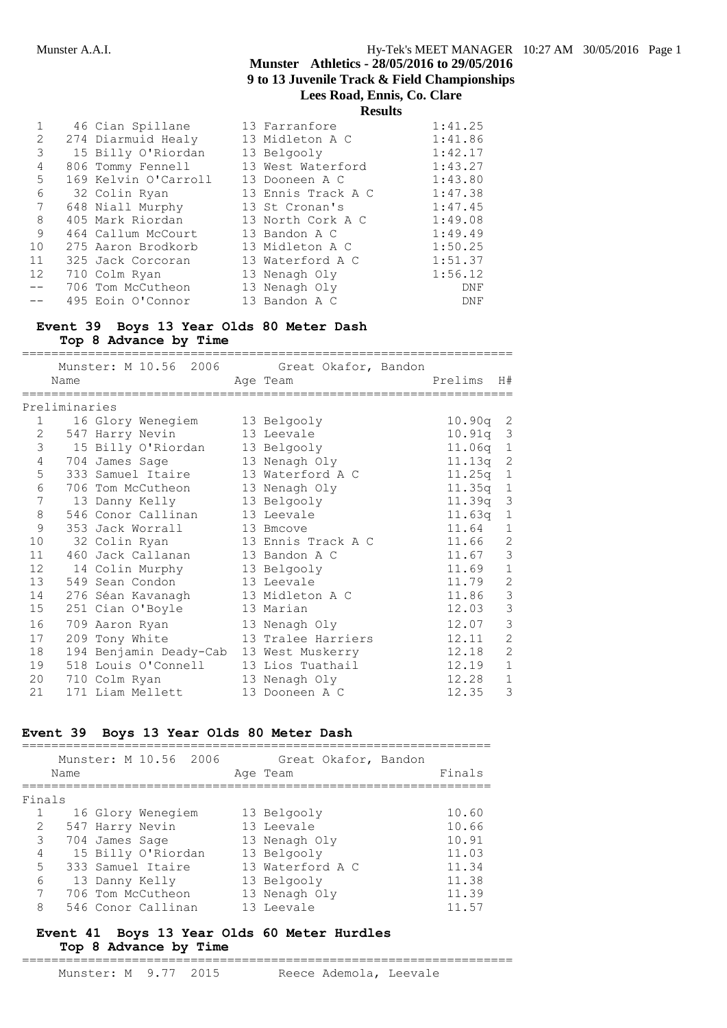**Results**

|       | 46 Cian Spillane     | 13 Farranfore      | 1:41.25 |
|-------|----------------------|--------------------|---------|
| 2     | 274 Diarmuid Healy   | 13 Midleton A C    | 1:41.86 |
| 3     | 15 Billy O'Riordan   | 13 Belgooly        | 1:42.17 |
| 4     | 806 Tommy Fennell    | 13 West Waterford  | 1:43.27 |
| 5     | 169 Kelvin O'Carroll | 13 Dooneen A C     | 1:43.80 |
| 6     | 32 Colin Ryan        | 13 Ennis Track A C | 1:47.38 |
| 7     | 648 Niall Murphy     | 13 St Cronan's     | 1:47.45 |
| 8     | 405 Mark Riordan     | 13 North Cork A C  | 1:49.08 |
| 9     | 464 Callum McCourt   | 13 Bandon A C      | 1:49.49 |
| 10    | 275 Aaron Brodkorb   | 13 Midleton A C    | 1:50.25 |
| 11    | 325 Jack Corcoran    | 13 Waterford A C   | 1:51.37 |
| 12    | 710 Colm Ryan        | 13 Nenagh Oly      | 1:56.12 |
| $- -$ | 706 Tom McCutheon    | 13 Nenagh Oly      | DNF     |
|       | 495 Eoin O'Connor    | 13 Bandon A C      | DNF     |

# **Event 39 Boys 13 Year Olds 80 Meter Dash**

**Top 8 Advance by Time**

|                |               |                                   | Munster: M 10.56 2006 Great Okafor, Bandon |                 |                |
|----------------|---------------|-----------------------------------|--------------------------------------------|-----------------|----------------|
|                | Name          |                                   | Age Team                                   | Prelims         | H#             |
|                |               |                                   |                                            |                 |                |
|                | Preliminaries |                                   |                                            |                 |                |
| $\mathbf{1}$   |               | 16 Glory Wenegiem                 | 13 Belgooly                                | $10.90q$ 2      |                |
| 2              |               | 547 Harry Nevin                   | 13 Leevale                                 | 10.91q          | 3              |
| 3              |               | 15 Billy O'Riordan                | 13 Belgooly                                | $11.06q$ 1      |                |
| 4              |               | 704 James Sage                    | 13 Nenagh Oly                              | 11.13q          | $\overline{c}$ |
| 5              |               | 333 Samuel Itaire                 | 13 Waterford A C                           | 11.25q          | $\mathbf{1}$   |
| 6              |               | 706 Tom McCutheon 13 Nenagh Oly   |                                            | 11 <b>.</b> 35a | $\overline{1}$ |
| $\overline{7}$ |               | 13 Danny Kelly                    | 13 Belgooly                                | 11.39q          | 3              |
| 8              |               | 546 Conor Callinan                | 13 Leevale                                 | 11.63q          | 1              |
| 9              |               | 353 Jack Worrall                  | 13 Bmcove                                  | 11.64           | $\mathbf{1}$   |
| 10             |               | 32 Colin Ryan                     | 13 Ennis Track A C                         | 11.66           | $\overline{2}$ |
| 11             |               | 460 Jack Callanan 13 Bandon A C   |                                            | 11.67           | 3              |
| 12             |               | 14 Colin Murphy 13 Belgooly       |                                            | 11.69           | $\mathbf{1}$   |
| 13             |               | 549 Sean Condon                   | 13 Leevale                                 | 11.79           | $\overline{2}$ |
| 14             |               | 276 Séan Kavanagh 13 Midleton A C |                                            | 11.86           | 3              |
| 15             |               | 251 Cian O'Boyle                  | 13 Marian                                  | 12.03           | 3              |
| 16             |               | 709 Aaron Ryan                    | 13 Nenagh Oly                              | 12.07           | 3              |
| 17             |               | 209 Tony White                    | 13 Tralee Harriers                         | 12.11           | $\overline{2}$ |
| 18             |               | 194 Benjamin Deady-Cab            | 13 West Muskerry                           | 12.18           | $\mathcal{L}$  |
| 19             |               | 518 Louis O'Connell               | 13 Lios Tuathail                           | 12.19           | $\mathbf{1}$   |
| 20             |               | 710 Colm Ryan                     | 13 Nenagh Oly                              | 12.28           | $\mathbf{1}$   |
| 21             |               | 171 Liam Mellett                  | 13 Dooneen A C                             | 12.35           | 3              |
|                |               |                                   |                                            |                 |                |

#### **Event 39 Boys 13 Year Olds 80 Meter Dash**

|        | Name | Munster: M 10.56 2006 |  | Great Okafor, Bandon<br>Age Team | Finals |
|--------|------|-----------------------|--|----------------------------------|--------|
| Finals |      |                       |  |                                  |        |
|        |      | 16 Glory Wenegiem     |  | 13 Belgooly                      | 10.60  |
| 2      |      | 547 Harry Nevin       |  | 13 Leevale                       | 10.66  |
| 3      |      | 704 James Sage        |  | 13 Nenagh Oly                    | 10.91  |
| 4      |      | 15 Billy O'Riordan    |  | 13 Belgooly                      | 11.03  |
| 5      |      | 333 Samuel Itaire     |  | 13 Waterford A C                 | 11.34  |
| 6      |      | 13 Danny Kelly        |  | 13 Belgooly                      | 11.38  |
| 7      |      | 706 Tom McCutheon     |  | 13 Nenagh Oly                    | 11.39  |
| 8      |      | 546 Conor Callinan    |  | 13 Leevale                       | 11.57  |

#### **Event 41 Boys 13 Year Olds 60 Meter Hurdles Top 8 Advance by Time** ===================================================================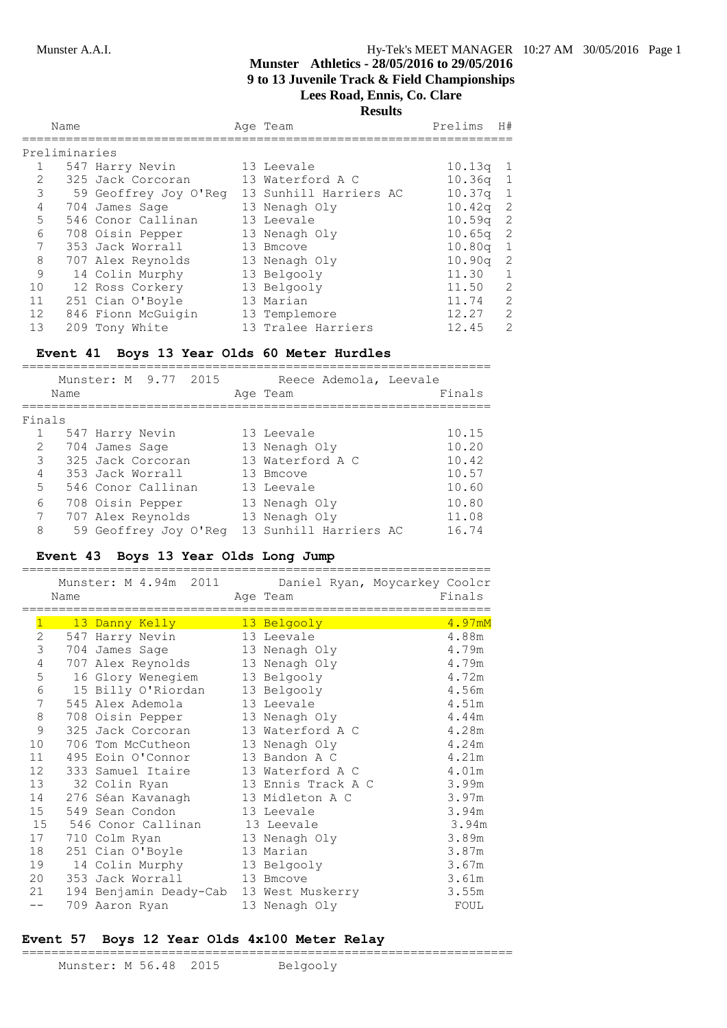|                 | Name          |                       | Age Team               | Prelims            | H#                         |
|-----------------|---------------|-----------------------|------------------------|--------------------|----------------------------|
|                 | Preliminaries |                       |                        |                    |                            |
|                 |               | 547 Harry Nevin       | 13 Leevale             | 10.13q             | $\mathbf{1}$               |
| $\overline{2}$  |               | 325 Jack Corcoran     | 13 Waterford A C       | $10.36q$ 1         |                            |
| 3               |               | 59 Geoffrey Joy O'Reg | 13 Sunhill Harriers AC | $10.37q$ 1         |                            |
| 4               |               | 704 James Sage        | 13 Nenagh Oly          | 10.42q             | -2                         |
| 5               |               | 546 Conor Callinan    | 13 Leevale             | 10.59q             | $\overline{\phantom{0}}^2$ |
| 6               |               | 708 Oisin Pepper      | 13 Nenagh Oly          | 10.65 <sub>q</sub> | - 2                        |
| 7               |               | 353 Jack Worrall      | 13 Bmcove              | 10.80q             | $\mathbf{1}$               |
| 8               |               | 707 Alex Reynolds     | 13 Nenagh Oly          | 10.90q             | -2                         |
| 9               |               | 14 Colin Murphy       | 13 Belgooly            | 11.30              | 1                          |
| 10              |               | 12 Ross Corkery       | 13 Belgooly            | 11.50              | 2                          |
| 11              |               | 251 Cian O'Boyle      | 13 Marian              | 11.74              | 2                          |
| 12 <sup>°</sup> |               | 846 Fionn McGuigin    | 13 Templemore          | 12.27              | 2                          |
| 13              |               | 209 Tony White        | 13 Tralee Harriers     | 12.45              | 2                          |
|                 |               |                       |                        |                    |                            |

# **Event 41 Boys 13 Year Olds 60 Meter Hurdles**

|               | Name | Munster: M 9.77 2015  | Reece Ademola, Leevale<br>Age Team | Finals |
|---------------|------|-----------------------|------------------------------------|--------|
| Finals        |      |                       |                                    |        |
|               |      |                       |                                    |        |
|               |      | 547 Harry Nevin       | 13 Leevale                         | 10.15  |
| $\mathcal{L}$ |      | 704 James Sage        | 13 Nenagh Oly                      | 10.20  |
| 3             |      | 325 Jack Corcoran     | 13 Waterford A C                   | 10.42  |
| 4             |      | 353 Jack Worrall      | 13 Bmcove                          | 10.57  |
| 5             |      | 546 Conor Callinan    | 13 Leevale                         | 10.60  |
| 6             |      | 708 Oisin Pepper      | 13 Nenagh Oly                      | 10.80  |
| 7             |      | 707 Alex Reynolds     | 13 Nenagh Oly                      | 11.08  |
| 8             |      | 59 Geoffrey Joy O'Reg | 13 Sunhill Harriers AC             | 16.74  |

### **Event 43 Boys 13 Year Olds Long Jump**

|                | Name | Munster: M 4.94m 2011           | Age Team           | Daniel Ryan, Moycarkey Coolcr<br>Finals |
|----------------|------|---------------------------------|--------------------|-----------------------------------------|
| $\mathbf{1}$   |      | 13 Danny Kelly                  | 13 Belgooly        | 4.97mM                                  |
| $\mathbf{2}$   |      | 547 Harry Nevin                 | 13 Leevale         | 4.88m                                   |
| $\mathfrak{Z}$ |      | 704 James Sage                  | 13 Nenagh Oly      | 4.79m                                   |
| $\sqrt{4}$     |      | 707 Alex Reynolds 13 Nenagh Oly |                    | 4.79m                                   |
| 5              |      | 16 Glory Wenegiem               | 13 Belgooly        | 4.72m                                   |
| $\epsilon$     |      | 15 Billy O'Riordan 13 Belgooly  |                    | 4.56m                                   |
| 7              |      | 545 Alex Ademola                | 13 Leevale         | 4.51m                                   |
| $\,8\,$        |      | 708 Oisin Pepper 13 Nenagh Oly  |                    | 4.44m                                   |
| 9              |      | 325 Jack Corcoran               | 13 Waterford A C   | 4.28m                                   |
| 10             |      | 706 Tom McCutheon               | 13 Nenagh Oly      | 4.24m                                   |
| 11             |      | 495 Eoin O'Connor               | 13 Bandon A C      | 4.21m                                   |
| 12             |      | 333 Samuel Itaire               | 13 Waterford A C   | 4.01m                                   |
| 13             |      | 32 Colin Ryan                   | 13 Ennis Track A C | 3.99m                                   |
| 14             |      | 276 Séan Kavanagh               | 13 Midleton A C    | 3.97m                                   |
| 15             |      | 549 Sean Condon                 | 13 Leevale         | 3.94m                                   |
| 15             |      | 546 Conor Callinan              | 13 Leevale         | 3.94m                                   |
| 17             |      | 710 Colm Ryan                   | 13 Nenagh Oly      | 3.89m                                   |
| 18             |      | 251 Cian O'Boyle                | 13 Marian          | 3.87m                                   |
| 19             |      | 14 Colin Murphy                 | 13 Belgooly        | 3.67m                                   |
| 20             |      | 353 Jack Worrall                | 13 Bmcove          | 3.61m                                   |
| 21             |      | 194 Benjamin Deady-Cab          | 13 West Muskerry   | 3.55m                                   |
|                |      | 709 Aaron Ryan                  | 13 Nenagh Oly      | FOUL                                    |

#### **Event 57 Boys 12 Year Olds 4x100 Meter Relay**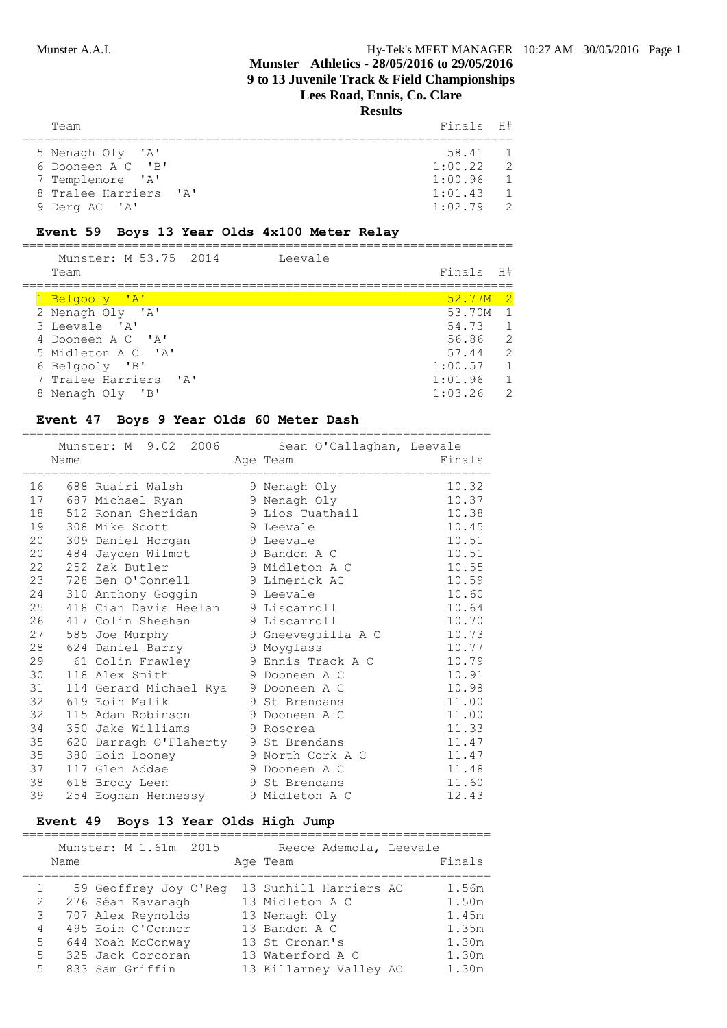| Team                  | Finals H#   |                          |
|-----------------------|-------------|--------------------------|
| 5 Nenagh Oly 'A'      | 58.41       | $\sim$ 1                 |
| 6 Dooneen A C 'B'     | 1:00.22     | $\overline{\phantom{0}}$ |
| 7 Templemore 'A'      | 1:00.96     | $\overline{1}$           |
| 8 Tralee Harriers 'A' | 1:01.43     | $\overline{1}$           |
| 9 Derg AC 'A'         | $1:02.79$ 2 |                          |

#### **Event 59 Boys 13 Year Olds 4x100 Meter Relay**

=================================================================== Munster: M 53.75 2014

| Team                  | Finals              | H #                        |
|-----------------------|---------------------|----------------------------|
|                       |                     |                            |
| 1 Belgooly 'A'        | 52.77M <sub>2</sub> |                            |
| 2 Nenagh Oly 'A'      | 53.70M              | $\overline{1}$             |
| 3 Leevale 'A'         | 54.73               | $\overline{1}$             |
| 4 Dooneen A C 'A'     | 56.86               | $\overline{\phantom{0}}^2$ |
| 5 Midleton A C 'A'    | 57.44               | -2                         |
| 6 Belgooly 'B'        | 1:00.57             | $\overline{1}$             |
| 7 Tralee Harriers 'A' | 1:01.96             | $\mathbf{1}$               |
| 8 Nenagh Oly 'B'      | 1:03.26             | $\mathcal{L}$              |
|                       |                     |                            |

#### **Event 47 Boys 9 Year Olds 60 Meter Dash**

|    | Name | and the Team Age Team           | Munster: M 9.02 2006 Sean O'Callaghan, Leevale | Finals |
|----|------|---------------------------------|------------------------------------------------|--------|
|    |      | 16 688 Ruairi Walsh             | 9 Nenagh Oly                                   | 10.32  |
|    |      | 17 687 Michael Ryan             | 9 Nenagh Oly                                   | 10.37  |
|    |      | 18 512 Ronan Sheridan           | 9 Lios Tuathail                                | 10.38  |
| 19 |      | 308 Mike Scott                  | 9 Leevale                                      | 10.45  |
| 20 |      | 309 Daniel Horgan               | 9 Leevale                                      | 10.51  |
| 20 |      | 484 Jayden Wilmot               | 9 Bandon A C                                   | 10.51  |
| 22 |      | 252 Zak Butler                  | 9 Midleton A C                                 | 10.55  |
| 23 |      | 728 Ben O'Connell 9 Limerick AC |                                                | 10.59  |
| 24 |      | 310 Anthony Goggin              | 9 Leevale                                      | 10.60  |
| 25 |      | 418 Cian Davis Heelan           | 9 Liscarroll                                   | 10.64  |
| 26 |      | 417 Colin Sheehan               | 9 Liscarroll                                   | 10.70  |
| 27 |      | 585 Joe Murphy                  | 9 Gneeveguilla A C                             | 10.73  |
| 28 |      | 624 Daniel Barry                | 9 Moyglass                                     | 10.77  |
| 29 |      | 61 Colin Frawley                | 9 Ennis Track A C                              | 10.79  |
| 30 |      | 118 Alex Smith                  | 9 Dooneen A C                                  | 10.91  |
| 31 |      | 114 Gerard Michael Rya          | 9 Dooneen A C                                  | 10.98  |
| 32 |      | 619 Eoin Malik                  | 9 St Brendans                                  | 11.00  |
| 32 |      | 115 Adam Robinson               | 9 Dooneen A C                                  | 11.00  |
| 34 |      | 350 Jake Williams               | 9 Roscrea                                      | 11.33  |
| 35 |      | 620 Darragh O'Flaherty          | 9 St Brendans                                  | 11.47  |
| 35 |      | 380 Eoin Looney                 | 9 North Cork A C                               | 11.47  |
| 37 |      | 117 Glen Addae                  | 9 Dooneen A C                                  | 11.48  |
| 38 |      | 618 Brody Leen                  | 9 St Brendans                                  | 11.60  |
| 39 |      | 254 Eoghan Hennessy             | 9 Midleton A C                                 | 12.43  |

#### **Event 49 Boys 13 Year Olds High Jump**

|   |      | Munster: M 1.61m 2015 |  | Reece Ademola, Leevale |        |
|---|------|-----------------------|--|------------------------|--------|
|   | Name |                       |  | Age Team               | Finals |
|   |      |                       |  |                        |        |
|   |      | 59 Geoffrey Joy O'Req |  | 13 Sunhill Harriers AC | 1.56m  |
| 2 |      | 276 Séan Kavanagh     |  | 13 Midleton A C        | 1.50m  |
| 3 |      | 707 Alex Reynolds     |  | 13 Nenagh Oly          | 1.45m  |
| 4 |      | 495 Eoin O'Connor     |  | 13 Bandon A C          | 1.35m  |
| 5 |      | 644 Noah McConway     |  | 13 St Cronan's         | 1.30m  |
| 5 |      | 325 Jack Corcoran     |  | 13 Waterford A C       | 1.30m  |
| 5 |      | 833 Sam Griffin       |  | 13 Killarney Valley AC | 1.30m  |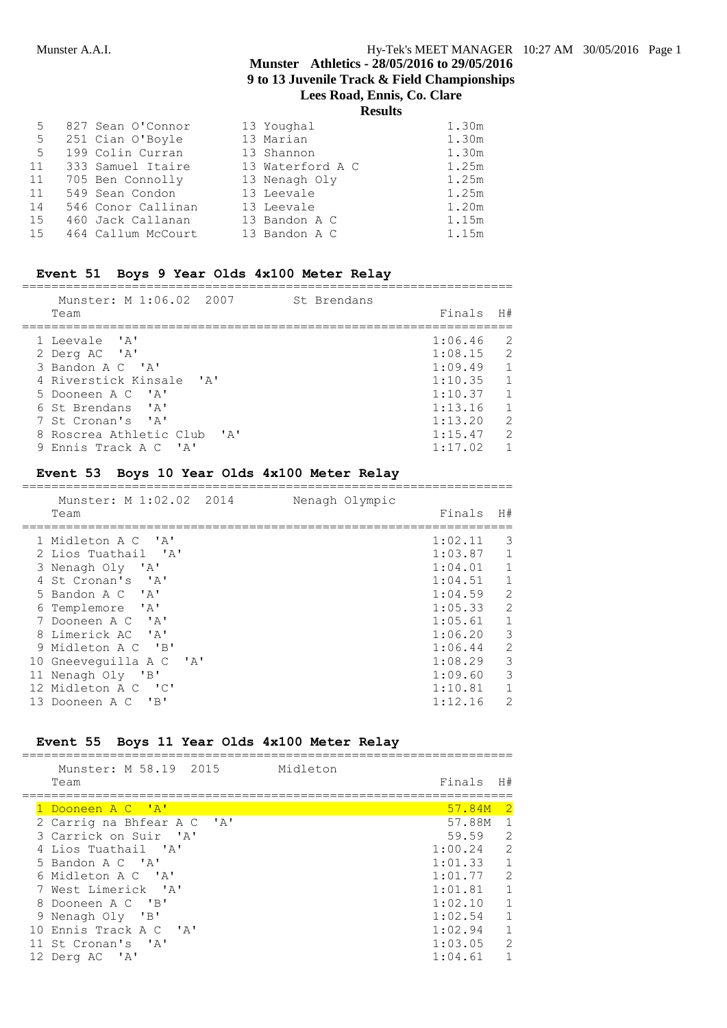| 5  | 827 Sean O'Connor    | 13 Youghal       | 1.30m |
|----|----------------------|------------------|-------|
| 5  | 251 Cian O'Boyle     | 13 Marian        | 1.30m |
| 5  | 199 Colin Curran     | 13 Shannon       | 1.30m |
|    | 11 333 Samuel Itaire | 13 Waterford A C | 1.25m |
| 11 | 705 Ben Connolly     | 13 Nenagh Oly    | 1.25m |
| 11 | 549 Sean Condon      | 13 Leevale       | 1.25m |
| 14 | 546 Conor Callinan   | 13 Leevale       | 1.20m |
| 15 | 460 Jack Callanan    | 13 Bandon A C    | 1.15m |
| 15 | 464 Callum McCourt   | 13 Bandon A C    | 1.15m |

### **Event 51 Boys 9 Year Olds 4x100 Meter Relay**

===================================================================

| Munster: M 1:06.02 2007  |      | St Brendans |         |                |
|--------------------------|------|-------------|---------|----------------|
| Team                     |      |             | Finals  | H#             |
| 1 Leevale 'A'            |      |             | 1:06.46 | -2             |
| 2 Derg AC 'A'            |      |             | 1:08.15 | $\mathcal{L}$  |
| 3 Bandon A C 'A'         |      |             | 1:09.49 | $\overline{1}$ |
| 4 Riverstick Kinsale 'A' |      |             | 1:10.35 | $\overline{1}$ |
| 5 Dooneen A C 'A'        |      |             | 1:10.37 | $\mathbf{1}$   |
| 6 St Brendans 'A'        |      |             | 1:13.16 | $\overline{1}$ |
| 7 St Cronan's 'A'        |      |             | 1:13.20 | 2              |
| 8 Roscrea Athletic Club  | י בי |             | 1:15.47 | $\mathcal{P}$  |
| 9 Ennis Track A C 'A'    |      |             | 1:17.02 |                |

### **Event 53 Boys 10 Year Olds 4x100 Meter Relay**

| Munster: M 1:02.02 2014<br>Team            | Nenagh Olympic | Finals    | H#                      |
|--------------------------------------------|----------------|-----------|-------------------------|
| 1 Midleton A C 'A'                         |                | 1:02.11   | 3                       |
| 2 Lios Tuathail 'A'                        |                | 1:03.87   | 1                       |
| 3 Nenagh Oly 'A'                           |                | 1:04.01   | 1                       |
| 4 St Cronan's 'A'                          |                | 1:04.51   | $\mathbf{1}$            |
| 5 Bandon A C 'A'                           |                | 1:04.59   | 2                       |
| 6 Templemore 'A'                           |                | 1:05.33   | 2                       |
| 7 Dooneen A C 'A'                          |                | 1:05.61   | $\mathbf{1}$            |
| 8 Limerick AC 'A'                          |                | 1:06.20 3 |                         |
| 9 Midleton A C 'B'                         |                | 1:06.44   | 2                       |
| 10 Gneeveguilla A C 'A'                    |                | 1:08.29   | $\overline{\mathbf{3}}$ |
| 11 Nenagh Oly 'B'                          |                | 1:09.60   | 3                       |
| 12 Midleton A C 'C'                        |                | 1:10.81   | 1                       |
| $\overline{\phantom{a}}$<br>13 Dooneen A C |                | 1:12.16   | 2                       |

#### **Event 55 Boys 11 Year Olds 4x100 Meter Relay**

| Munster: M 58.19 2015<br>Team | Midleton | Finals  | H#             |
|-------------------------------|----------|---------|----------------|
| Dooneen A C 'A'               |          | 57.84M  | $\overline{2}$ |
| 2 Carrig na Bhfear A C 'A'    |          | 57.88M  | $\overline{1}$ |
| 3 Carrick on Suir 'A'         |          | 59.59   | 2              |
| 4 Lios Tuathail 'A'           |          | 1:00.24 | $\mathcal{L}$  |
| 5 Bandon A C 'A'              |          | 1:01.33 | $\overline{1}$ |
| 6 Midleton A C 'A'            |          | 1:01.77 | $\mathcal{L}$  |
| 7 West Limerick 'A'           |          | 1:01.81 | $\overline{1}$ |
| 8 Dooneen A C 'B'             |          | 1:02.10 | $\overline{1}$ |
| 9 Nenagh Oly 'B'              |          | 1:02.54 | $\mathbf{1}$   |
| 10 Ennis Track A C 'A'        |          | 1:02.94 | $\mathbf{1}$   |
| 11 St Cronan's 'A'            |          | 1:03.05 | $\mathcal{L}$  |
| 12 Derg AC 'A'                |          | 1:04.61 |                |